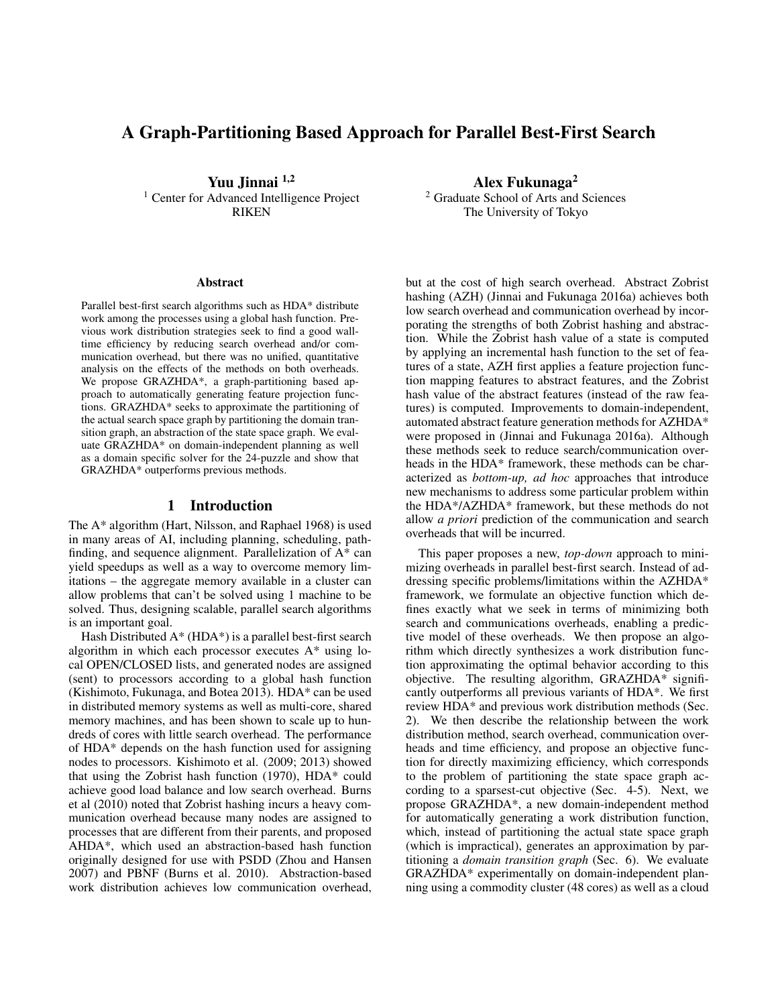# A Graph-Partitioning Based Approach for Parallel Best-First Search

Yuu Jinnai 1,2 <sup>1</sup> Center for Advanced Intelligence Project RIKEN

#### Abstract

Parallel best-first search algorithms such as HDA\* distribute work among the processes using a global hash function. Previous work distribution strategies seek to find a good walltime efficiency by reducing search overhead and/or communication overhead, but there was no unified, quantitative analysis on the effects of the methods on both overheads. We propose GRAZHDA\*, a graph-partitioning based approach to automatically generating feature projection functions. GRAZHDA\* seeks to approximate the partitioning of the actual search space graph by partitioning the domain transition graph, an abstraction of the state space graph. We evaluate GRAZHDA\* on domain-independent planning as well as a domain specific solver for the 24-puzzle and show that GRAZHDA\* outperforms previous methods.

#### 1 Introduction

The A\* algorithm (Hart, Nilsson, and Raphael 1968) is used in many areas of AI, including planning, scheduling, pathfinding, and sequence alignment. Parallelization of A\* can yield speedups as well as a way to overcome memory limitations – the aggregate memory available in a cluster can allow problems that can't be solved using 1 machine to be solved. Thus, designing scalable, parallel search algorithms is an important goal.

Hash Distributed  $A^*$  (HDA\*) is a parallel best-first search algorithm in which each processor executes A\* using local OPEN/CLOSED lists, and generated nodes are assigned (sent) to processors according to a global hash function (Kishimoto, Fukunaga, and Botea 2013). HDA\* can be used in distributed memory systems as well as multi-core, shared memory machines, and has been shown to scale up to hundreds of cores with little search overhead. The performance of HDA\* depends on the hash function used for assigning nodes to processors. Kishimoto et al. (2009; 2013) showed that using the Zobrist hash function (1970), HDA\* could achieve good load balance and low search overhead. Burns et al (2010) noted that Zobrist hashing incurs a heavy communication overhead because many nodes are assigned to processes that are different from their parents, and proposed AHDA\*, which used an abstraction-based hash function originally designed for use with PSDD (Zhou and Hansen 2007) and PBNF (Burns et al. 2010). Abstraction-based work distribution achieves low communication overhead,

Alex Fukunaga<sup>2</sup>

<sup>2</sup> Graduate School of Arts and Sciences The University of Tokyo

but at the cost of high search overhead. Abstract Zobrist hashing (AZH) (Jinnai and Fukunaga 2016a) achieves both low search overhead and communication overhead by incorporating the strengths of both Zobrist hashing and abstraction. While the Zobrist hash value of a state is computed by applying an incremental hash function to the set of features of a state, AZH first applies a feature projection function mapping features to abstract features, and the Zobrist hash value of the abstract features (instead of the raw features) is computed. Improvements to domain-independent, automated abstract feature generation methods for AZHDA\* were proposed in (Jinnai and Fukunaga 2016a). Although these methods seek to reduce search/communication overheads in the HDA\* framework, these methods can be characterized as *bottom-up, ad hoc* approaches that introduce new mechanisms to address some particular problem within the HDA\*/AZHDA\* framework, but these methods do not allow *a priori* prediction of the communication and search overheads that will be incurred.

This paper proposes a new, *top-down* approach to minimizing overheads in parallel best-first search. Instead of addressing specific problems/limitations within the AZHDA\* framework, we formulate an objective function which defines exactly what we seek in terms of minimizing both search and communications overheads, enabling a predictive model of these overheads. We then propose an algorithm which directly synthesizes a work distribution function approximating the optimal behavior according to this objective. The resulting algorithm, GRAZHDA\* significantly outperforms all previous variants of HDA\*. We first review HDA\* and previous work distribution methods (Sec. 2). We then describe the relationship between the work distribution method, search overhead, communication overheads and time efficiency, and propose an objective function for directly maximizing efficiency, which corresponds to the problem of partitioning the state space graph according to a sparsest-cut objective (Sec. 4-5). Next, we propose GRAZHDA\*, a new domain-independent method for automatically generating a work distribution function, which, instead of partitioning the actual state space graph (which is impractical), generates an approximation by partitioning a *domain transition graph* (Sec. 6). We evaluate GRAZHDA\* experimentally on domain-independent planning using a commodity cluster (48 cores) as well as a cloud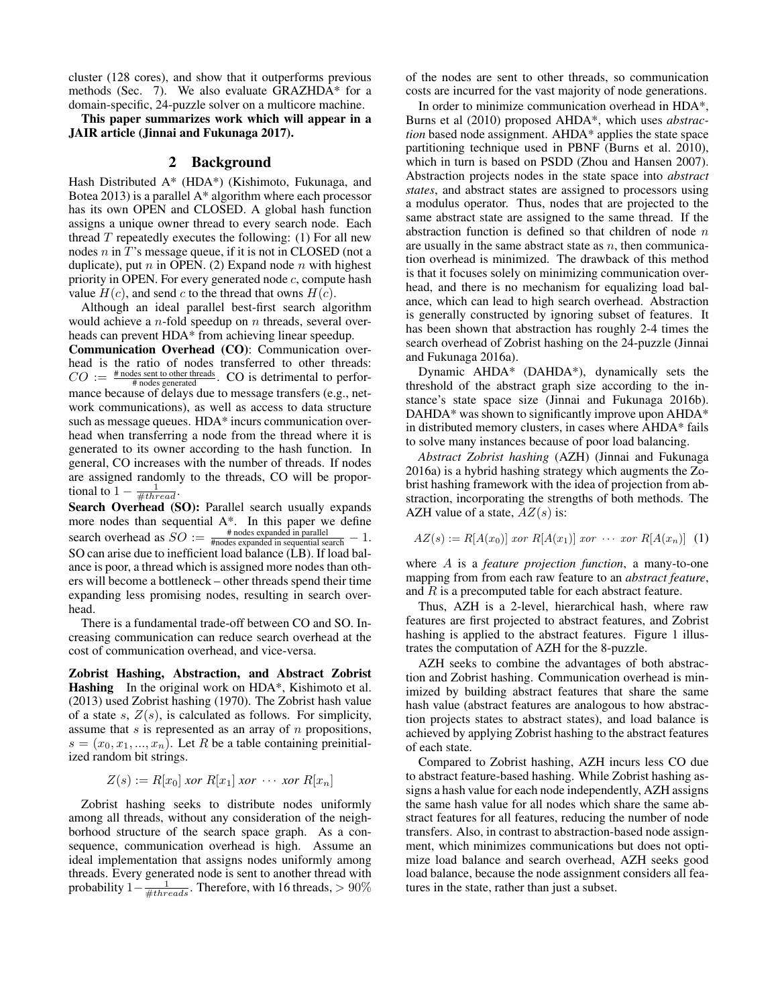cluster (128 cores), and show that it outperforms previous methods (Sec. 7). We also evaluate GRAZHDA\* for a domain-specific, 24-puzzle solver on a multicore machine.

This paper summarizes work which will appear in a JAIR article (Jinnai and Fukunaga 2017).

#### 2 Background

Hash Distributed A\* (HDA\*) (Kishimoto, Fukunaga, and Botea 2013) is a parallel A\* algorithm where each processor has its own OPEN and CLOSED. A global hash function assigns a unique owner thread to every search node. Each thread  $T$  repeatedly executes the following: (1) For all new nodes n in T's message queue, if it is not in CLOSED (not a duplicate), put  $n$  in OPEN. (2) Expand node  $n$  with highest priority in OPEN. For every generated node  $c$ , compute hash value  $H(c)$ , and send c to the thread that owns  $H(c)$ .

Although an ideal parallel best-first search algorithm would achieve a  $n$ -fold speedup on  $n$  threads, several overheads can prevent HDA\* from achieving linear speedup.

Communication Overhead (CO): Communication overhead is the ratio of nodes transferred to other threads:  $CO := \frac{\text{\# nodes sent to other threads}}{\text{\# nodes generated}}$ . CO is detrimental to performance because of delays due to message transfers (e.g., network communications), as well as access to data structure such as message queues. HDA\* incurs communication overhead when transferring a node from the thread where it is generated to its owner according to the hash function. In general, CO increases with the number of threads. If nodes are assigned randomly to the threads, CO will be proportional to  $1 - \frac{1}{\# thread}$ .

Search Overhead (SO): Parallel search usually expands more nodes than sequential A\*. In this paper we define search overhead as  $SO := \frac{\text{\# nodes expanded in parallel}}{\text{\#nodes expanded in sequential search}} - 1$ . SO can arise due to inefficient load balance (LB). If load balance is poor, a thread which is assigned more nodes than others will become a bottleneck – other threads spend their time expanding less promising nodes, resulting in search overhead.

There is a fundamental trade-off between CO and SO. Increasing communication can reduce search overhead at the cost of communication overhead, and vice-versa.

Zobrist Hashing, Abstraction, and Abstract Zobrist Hashing In the original work on HDA<sup>\*</sup>. Kishimoto et al. (2013) used Zobrist hashing (1970). The Zobrist hash value of a state s,  $Z(s)$ , is calculated as follows. For simplicity, assume that  $s$  is represented as an array of  $n$  propositions,  $s = (x_0, x_1, ..., x_n)$ . Let R be a table containing preinitialized random bit strings.

$$
Z(s) := R[x_0] \text{ for } R[x_1] \text{ for } \cdots \text{ for } R[x_n]
$$

Zobrist hashing seeks to distribute nodes uniformly among all threads, without any consideration of the neighborhood structure of the search space graph. As a consequence, communication overhead is high. Assume an ideal implementation that assigns nodes uniformly among threads. Every generated node is sent to another thread with probability  $1-\frac{1}{\#threads}$ . Therefore, with 16 threads, > 90%

of the nodes are sent to other threads, so communication costs are incurred for the vast majority of node generations.

In order to minimize communication overhead in HDA\*, Burns et al (2010) proposed AHDA\*, which uses *abstraction* based node assignment. AHDA\* applies the state space partitioning technique used in PBNF (Burns et al. 2010), which in turn is based on PSDD (Zhou and Hansen 2007). Abstraction projects nodes in the state space into *abstract states*, and abstract states are assigned to processors using a modulus operator. Thus, nodes that are projected to the same abstract state are assigned to the same thread. If the abstraction function is defined so that children of node  $n$ are usually in the same abstract state as  $n$ , then communication overhead is minimized. The drawback of this method is that it focuses solely on minimizing communication overhead, and there is no mechanism for equalizing load balance, which can lead to high search overhead. Abstraction is generally constructed by ignoring subset of features. It has been shown that abstraction has roughly 2-4 times the search overhead of Zobrist hashing on the 24-puzzle (Jinnai and Fukunaga 2016a).

Dynamic AHDA\* (DAHDA\*), dynamically sets the threshold of the abstract graph size according to the instance's state space size (Jinnai and Fukunaga 2016b). DAHDA\* was shown to significantly improve upon AHDA\* in distributed memory clusters, in cases where AHDA\* fails to solve many instances because of poor load balancing.

*Abstract Zobrist hashing* (AZH) (Jinnai and Fukunaga 2016a) is a hybrid hashing strategy which augments the Zobrist hashing framework with the idea of projection from abstraction, incorporating the strengths of both methods. The AZH value of a state,  $AZ(s)$  is:

$$
AZ(s) := R[A(x_0)] \text{ for } R[A(x_1)] \text{ for } \cdots \text{ for } R[A(x_n)] \tag{1}
$$

where A is a *feature projection function*, a many-to-one mapping from from each raw feature to an *abstract feature*, and  $R$  is a precomputed table for each abstract feature.

Thus, AZH is a 2-level, hierarchical hash, where raw features are first projected to abstract features, and Zobrist hashing is applied to the abstract features. Figure 1 illustrates the computation of AZH for the 8-puzzle.

AZH seeks to combine the advantages of both abstraction and Zobrist hashing. Communication overhead is minimized by building abstract features that share the same hash value (abstract features are analogous to how abstraction projects states to abstract states), and load balance is achieved by applying Zobrist hashing to the abstract features of each state.

Compared to Zobrist hashing, AZH incurs less CO due to abstract feature-based hashing. While Zobrist hashing assigns a hash value for each node independently, AZH assigns the same hash value for all nodes which share the same abstract features for all features, reducing the number of node transfers. Also, in contrast to abstraction-based node assignment, which minimizes communications but does not optimize load balance and search overhead, AZH seeks good load balance, because the node assignment considers all features in the state, rather than just a subset.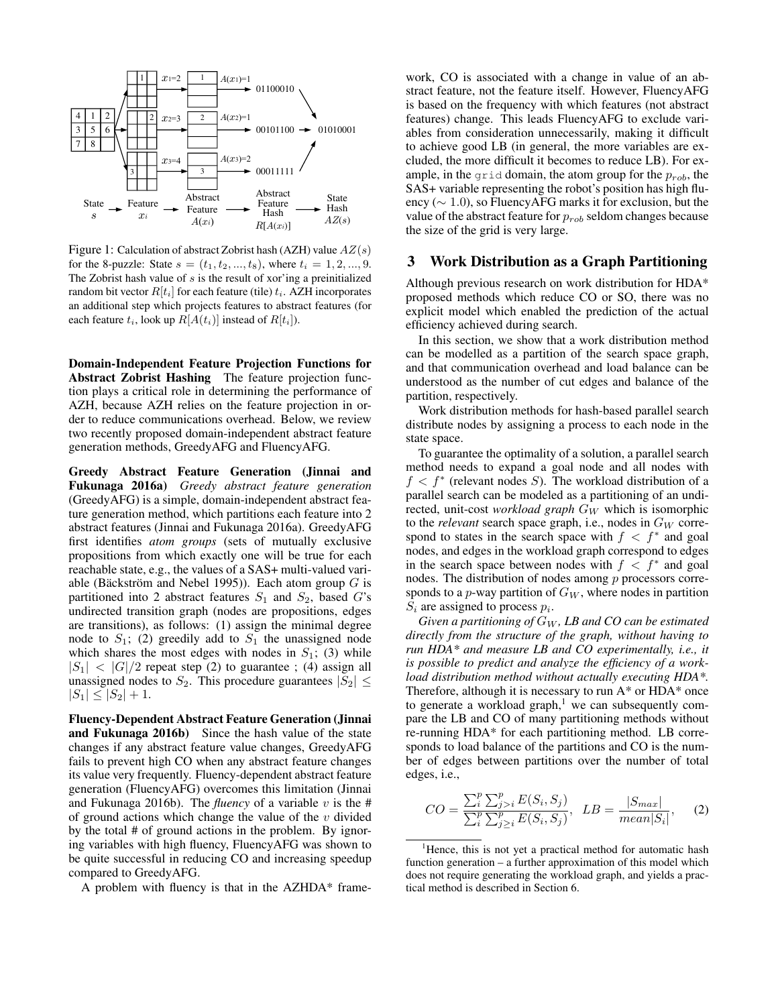

Figure 1: Calculation of abstract Zobrist hash (AZH) value  $AZ(s)$ for the 8-puzzle: State  $s = (t_1, t_2, ..., t_8)$ , where  $t_i = 1, 2, ..., 9$ . The Zobrist hash value of  $s$  is the result of xor'ing a preinitialized random bit vector  $R[t_i]$  for each feature (tile)  $t_i$ . AZH incorporates an additional step which projects features to abstract features (for each feature  $t_i$ , look up  $R[A(t_i)]$  instead of  $R[t_i]$ ).

Domain-Independent Feature Projection Functions for Abstract Zobrist Hashing The feature projection function plays a critical role in determining the performance of AZH, because AZH relies on the feature projection in order to reduce communications overhead. Below, we review two recently proposed domain-independent abstract feature generation methods, GreedyAFG and FluencyAFG.

Greedy Abstract Feature Generation (Jinnai and Fukunaga 2016a) *Greedy abstract feature generation* (GreedyAFG) is a simple, domain-independent abstract feature generation method, which partitions each feature into 2 abstract features (Jinnai and Fukunaga 2016a). GreedyAFG first identifies *atom groups* (sets of mutually exclusive propositions from which exactly one will be true for each reachable state, e.g., the values of a SAS+ multi-valued variable (Bäckström and Nebel 1995)). Each atom group  $G$  is partitioned into 2 abstract features  $S_1$  and  $S_2$ , based G's undirected transition graph (nodes are propositions, edges are transitions), as follows: (1) assign the minimal degree node to  $S_1$ ; (2) greedily add to  $S_1$  the unassigned node which shares the most edges with nodes in  $S_1$ ; (3) while  $|S_1|$  <  $|G|/2$  repeat step (2) to guarantee ; (4) assign all unassigned nodes to  $S_2$ . This procedure guarantees  $|S_2| \leq$  $|S_1| \leq |S_2| + 1.$ 

Fluency-Dependent Abstract Feature Generation (Jinnai and Fukunaga 2016b) Since the hash value of the state changes if any abstract feature value changes, GreedyAFG fails to prevent high CO when any abstract feature changes its value very frequently. Fluency-dependent abstract feature generation (FluencyAFG) overcomes this limitation (Jinnai and Fukunaga 2016b). The *fluency* of a variable  $v$  is the # of ground actions which change the value of the  $v$  divided by the total # of ground actions in the problem. By ignoring variables with high fluency, FluencyAFG was shown to be quite successful in reducing CO and increasing speedup compared to GreedyAFG.

A problem with fluency is that in the AZHDA\* frame-

work, CO is associated with a change in value of an abstract feature, not the feature itself. However, FluencyAFG is based on the frequency with which features (not abstract features) change. This leads FluencyAFG to exclude variables from consideration unnecessarily, making it difficult to achieve good LB (in general, the more variables are excluded, the more difficult it becomes to reduce LB). For example, in the grid domain, the atom group for the  $p_{rob}$ , the SAS+ variable representing the robot's position has high fluency (∼ 1.0), so FluencyAFG marks it for exclusion, but the value of the abstract feature for  $p_{rob}$  seldom changes because the size of the grid is very large.

#### 3 Work Distribution as a Graph Partitioning

Although previous research on work distribution for HDA\* proposed methods which reduce CO or SO, there was no explicit model which enabled the prediction of the actual efficiency achieved during search.

In this section, we show that a work distribution method can be modelled as a partition of the search space graph, and that communication overhead and load balance can be understood as the number of cut edges and balance of the partition, respectively.

Work distribution methods for hash-based parallel search distribute nodes by assigning a process to each node in the state space.

To guarantee the optimality of a solution, a parallel search method needs to expand a goal node and all nodes with  $f < f^*$  (relevant nodes S). The workload distribution of a parallel search can be modeled as a partitioning of an undirected, unit-cost *workload graph* G<sub>W</sub> which is isomorphic to the *relevant* search space graph, i.e., nodes in  $G_W$  correspond to states in the search space with  $f < f^*$  and goal nodes, and edges in the workload graph correspond to edges in the search space between nodes with  $f \leq f^*$  and goal nodes. The distribution of nodes among  $p$  processors corresponds to a  $p$ -way partition of  $G_W$ , where nodes in partition  $S_i$  are assigned to process  $p_i$ .

*Given a partitioning of* G<sup>W</sup> *, LB and CO can be estimated directly from the structure of the graph, without having to run HDA\* and measure LB and CO experimentally, i.e., it is possible to predict and analyze the efficiency of a workload distribution method without actually executing HDA\*.* Therefore, although it is necessary to run A\* or HDA\* once to generate a workload graph, $1$  we can subsequently compare the LB and CO of many partitioning methods without re-running HDA\* for each partitioning method. LB corresponds to load balance of the partitions and CO is the number of edges between partitions over the number of total edges, i.e.,

$$
CO = \frac{\sum_{i}^{p} \sum_{j>i}^{p} E(S_i, S_j)}{\sum_{i}^{p} \sum_{j>i}^{p} E(S_i, S_j)}, \quad LB = \frac{|S_{max}|}{mean|S_i|}, \quad (2)
$$

<sup>&</sup>lt;sup>1</sup>Hence, this is not yet a practical method for automatic hash function generation – a further approximation of this model which does not require generating the workload graph, and yields a practical method is described in Section 6.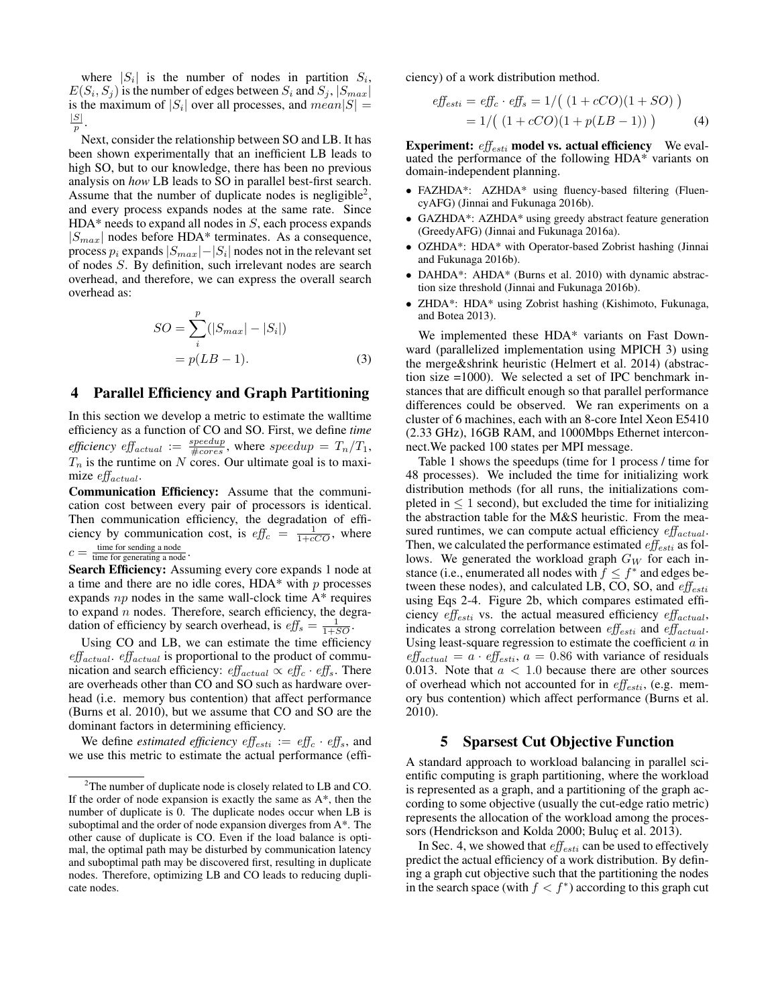where  $|S_i|$  is the number of nodes in partition  $S_i$ ,  $E(S_i, S_j)$  is the number of edges between  $S_i$  and  $S_j$ ,  $|S_{max}|$ is the maximum of  $|S_i|$  over all processes, and  $mean|S| =$  $|S|$ p .

Next, consider the relationship between SO and LB. It has been shown experimentally that an inefficient LB leads to high SO, but to our knowledge, there has been no previous analysis on *how* LB leads to SO in parallel best-first search. Assume that the number of duplicate nodes is negligible<sup>2</sup>, and every process expands nodes at the same rate. Since  $HDA*$  needs to expand all nodes in  $S$ , each process expands  $|S_{max}|$  nodes before HDA\* terminates. As a consequence, process  $p_i$  expands  $|S_{max}|-|S_i|$  nodes not in the relevant set of nodes S. By definition, such irrelevant nodes are search overhead, and therefore, we can express the overall search overhead as:

$$
SO = \sum_{i}^{p} (|S_{max}| - |S_{i}|)
$$
  
=  $p(LB - 1)$ . (3)

#### 4 Parallel Efficiency and Graph Partitioning

In this section we develop a metric to estimate the walltime efficiency as a function of CO and SO. First, we define *time efficiency eff<sub>actual</sub>* :=  $\frac{speedup}{\#cores}$ , where  $speedup = T_n/T_1$ ,  $T_n$  is the runtime on N cores. Our ultimate goal is to maximize  $\emph{eff}_{actual}$ .

Communication Efficiency: Assume that the communication cost between every pair of processors is identical. Then communication efficiency, the degradation of efficiency by communication cost, is  $\text{eff}_c = \frac{1}{1 + cC_O}$ , where  $c =$ time for sending a node time for generating a node .

Search Efficiency: Assuming every core expands 1 node at a time and there are no idle cores,  $HDA*$  with p processes expands  $np$  nodes in the same wall-clock time  $A^*$  requires to expand  $n$  nodes. Therefore, search efficiency, the degradation of efficiency by search overhead, is  $\text{eff}_s = \frac{1}{1+SO}$ .

Using CO and LB, we can estimate the time efficiency  $\iota$ eff<sub>actual</sub>.  $\iota$ eff<sub>actual</sub> is proportional to the product of communication and search efficiency:  $\text{eff}_{actual} \propto \text{eff}_c \cdot \text{eff}_s$ . There are overheads other than CO and SO such as hardware overhead (i.e. memory bus contention) that affect performance (Burns et al. 2010), but we assume that CO and SO are the dominant factors in determining efficiency.

We define *estimated efficiency*  $\epsilon f_{esti} := \epsilon f_{ic} \cdot \epsilon f_s$ , and we use this metric to estimate the actual performance (efficiency) of a work distribution method.

$$
eff_{esti} = eff_c \cdot eff_s = 1/((1 + cCO)(1 + SO))
$$
  
= 1/((1 + cCO)(1 + p(LB - 1))) (4)

**Experiment:**  $\textit{eff}_{esti}$  **model vs. actual efficiency** We evaluated the performance of the following HDA\* variants on domain-independent planning.

- FAZHDA\*: AZHDA\* using fluency-based filtering (FluencyAFG) (Jinnai and Fukunaga 2016b).
- GAZHDA\*: AZHDA\* using greedy abstract feature generation (GreedyAFG) (Jinnai and Fukunaga 2016a).
- OZHDA\*: HDA\* with Operator-based Zobrist hashing (Jinnai and Fukunaga 2016b).
- DAHDA\*: AHDA\* (Burns et al. 2010) with dynamic abstraction size threshold (Jinnai and Fukunaga 2016b).
- ZHDA\*: HDA\* using Zobrist hashing (Kishimoto, Fukunaga, and Botea 2013).

We implemented these HDA\* variants on Fast Downward (parallelized implementation using MPICH 3) using the merge&shrink heuristic (Helmert et al. 2014) (abstraction size =1000). We selected a set of IPC benchmark instances that are difficult enough so that parallel performance differences could be observed. We ran experiments on a cluster of 6 machines, each with an 8-core Intel Xeon E5410 (2.33 GHz), 16GB RAM, and 1000Mbps Ethernet interconnect.We packed 100 states per MPI message.

Table 1 shows the speedups (time for 1 process / time for 48 processes). We included the time for initializing work distribution methods (for all runs, the initializations completed in  $\leq 1$  second), but excluded the time for initializing the abstraction table for the M&S heuristic. From the measured runtimes, we can compute actual efficiency  $\iota$ ff<sub>actual</sub>. Then, we calculated the performance estimated  $\textit{eff}_{esti}$  as follows. We generated the workload graph  $G_W$  for each instance (i.e., enumerated all nodes with  $\hat{f} \leq f^*$  and edges between these nodes), and calculated LB, CO, SO, and  $eff_{esti}$ using Eqs 2-4. Figure 2b, which compares estimated efficiency  $\textit{eff}_{esti}$  vs. the actual measured efficiency  $\textit{eff}_{actual}$ , indicates a strong correlation between  $\iota$ ff<sub>esti</sub> and  $\iota$ ff<sub>actual</sub>. Using least-square regression to estimate the coefficient  $a$  in  $eff_{actual} = a \cdot eff_{esti}$ ,  $a = 0.86$  with variance of residuals 0.013. Note that  $a < 1.0$  because there are other sources of overhead which not accounted for in  $\iota$  effesti, (e.g. memory bus contention) which affect performance (Burns et al. 2010).

#### 5 Sparsest Cut Objective Function

A standard approach to workload balancing in parallel scientific computing is graph partitioning, where the workload is represented as a graph, and a partitioning of the graph according to some objective (usually the cut-edge ratio metric) represents the allocation of the workload among the processors (Hendrickson and Kolda 2000; Buluç et al. 2013).

In Sec. 4, we showed that  $\iota$ ff $_{esti}$  can be used to effectively predict the actual efficiency of a work distribution. By defining a graph cut objective such that the partitioning the nodes in the search space (with  $f < f^*$ ) according to this graph cut

 $2$ The number of duplicate node is closely related to LB and CO. If the order of node expansion is exactly the same as  $A^*$ , then the number of duplicate is 0. The duplicate nodes occur when LB is suboptimal and the order of node expansion diverges from A\*. The other cause of duplicate is CO. Even if the load balance is optimal, the optimal path may be disturbed by communication latency and suboptimal path may be discovered first, resulting in duplicate nodes. Therefore, optimizing LB and CO leads to reducing duplicate nodes.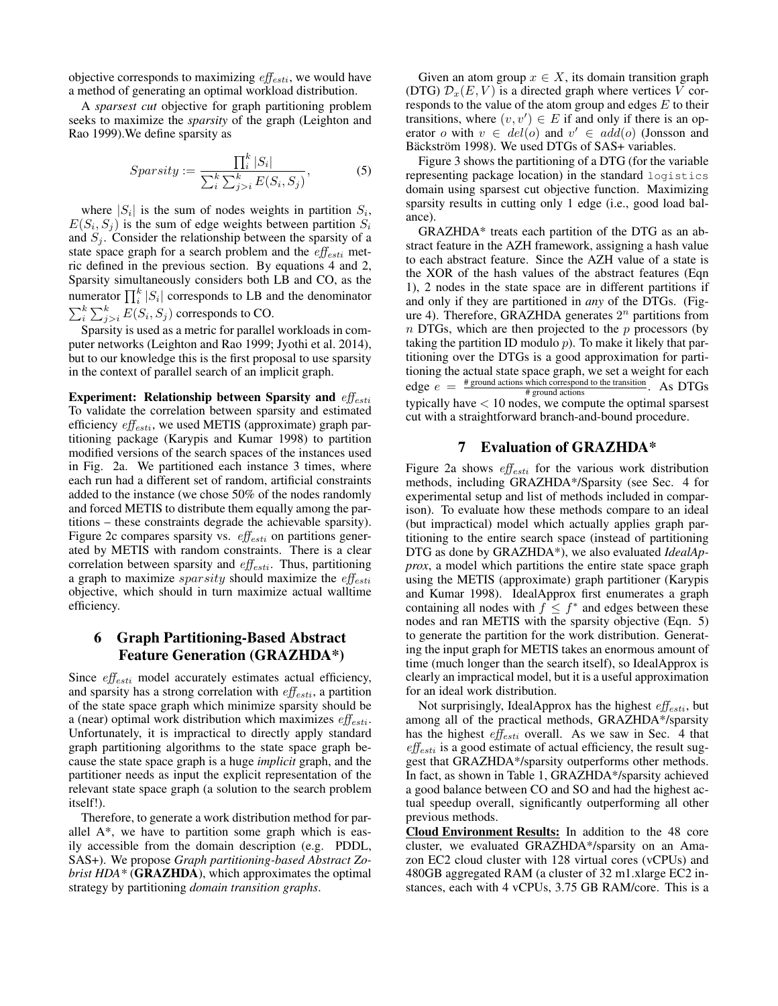objective corresponds to maximizing  $\textit{eff}_{\textit{esti}}$ , we would have a method of generating an optimal workload distribution.

A *sparsest cut* objective for graph partitioning problem seeks to maximize the *sparsity* of the graph (Leighton and Rao 1999).We define sparsity as

$$
Sparsity := \frac{\prod_{i}^{k} |S_i|}{\sum_{i}^{k} \sum_{j>i}^{k} E(S_i, S_j)},
$$
\n(5)

where  $|S_i|$  is the sum of nodes weights in partition  $S_i$ ,  $E(S_i, S_j)$  is the sum of edge weights between partition  $S_i$ and  $S_i$ . Consider the relationship between the sparsity of a state space graph for a search problem and the  $\textit{eff}_{esti}$  metric defined in the previous section. By equations 4 and 2, Sparsity simultaneously considers both LB and CO, as the numerator  $\prod_{i}^{k} |S_i|$  corresponds to LB and the denominator  $\sum_{i}^{k} \sum_{j>i}^{k} E(S_i, S_j)$  corresponds to CO.

Sparsity is used as a metric for parallel workloads in computer networks (Leighton and Rao 1999; Jyothi et al. 2014), but to our knowledge this is the first proposal to use sparsity in the context of parallel search of an implicit graph.

Experiment: Relationship between Sparsity and  $\iota$ To validate the correlation between sparsity and estimated efficiency  $\textit{eff}_{esti}$ , we used METIS (approximate) graph partitioning package (Karypis and Kumar 1998) to partition modified versions of the search spaces of the instances used in Fig. 2a. We partitioned each instance 3 times, where each run had a different set of random, artificial constraints added to the instance (we chose 50% of the nodes randomly and forced METIS to distribute them equally among the partitions – these constraints degrade the achievable sparsity). Figure 2c compares sparsity vs.  $\textit{eff}_{esti}$  on partitions generated by METIS with random constraints. There is a clear correlation between sparsity and  $\textit{eff}_{esti}$ . Thus, partitioning a graph to maximize *sparsity* should maximize the  $eff_{\text{esti}}$ objective, which should in turn maximize actual walltime efficiency.

## 6 Graph Partitioning-Based Abstract Feature Generation (GRAZHDA\*)

Since  $\textit{eff}_{esti}$  model accurately estimates actual efficiency, and sparsity has a strong correlation with  $\textit{eff}_{\textit{esti}}$ , a partition of the state space graph which minimize sparsity should be a (near) optimal work distribution which maximizes  $\textit{eff}_{\textit{esti}}$ . Unfortunately, it is impractical to directly apply standard graph partitioning algorithms to the state space graph because the state space graph is a huge *implicit* graph, and the partitioner needs as input the explicit representation of the relevant state space graph (a solution to the search problem itself!).

Therefore, to generate a work distribution method for parallel  $A^*$ , we have to partition some graph which is easily accessible from the domain description (e.g. PDDL, SAS+). We propose *Graph partitioning-based Abstract Zobrist HDA\** (GRAZHDA), which approximates the optimal strategy by partitioning *domain transition graphs*.

Given an atom group  $x \in X$ , its domain transition graph (DTG)  $\mathcal{D}_x(E, V)$  is a directed graph where vertices V corresponds to the value of the atom group and edges  $E$  to their transitions, where  $(v, v') \in E$  if and only if there is an operator o with  $v \in del(o)$  and  $v' \in add(o)$  (Jonsson and Bäckström 1998). We used DTGs of SAS+ variables.

Figure 3 shows the partitioning of a DTG (for the variable representing package location) in the standard logistics domain using sparsest cut objective function. Maximizing sparsity results in cutting only 1 edge (i.e., good load balance).

GRAZHDA\* treats each partition of the DTG as an abstract feature in the AZH framework, assigning a hash value to each abstract feature. Since the AZH value of a state is the XOR of the hash values of the abstract features (Eqn 1), 2 nodes in the state space are in different partitions if and only if they are partitioned in *any* of the DTGs. (Figure 4). Therefore, GRAZHDA generates  $2^n$  partitions from  $n$  DTGs, which are then projected to the  $p$  processors (by taking the partition ID modulo  $p$ ). To make it likely that partitioning over the DTGs is a good approximation for partitioning the actual state space graph, we set a weight for each edge  $e = \frac{\text{\# ground actions which correspond to the transition}}{\text{\# ground actions}}$ . As DTGs edge  $e = \frac{4 \times 10}{\frac{4 \times 100}{100}}$ . As DTGs typically have < 10 nodes, we compute the optimal sparsest cut with a straightforward branch-and-bound procedure.

### 7 Evaluation of GRAZHDA\*

Figure 2a shows  $\textit{eff}_{\textit{esti}}$  for the various work distribution methods, including GRAZHDA\*/Sparsity (see Sec. 4 for experimental setup and list of methods included in comparison). To evaluate how these methods compare to an ideal (but impractical) model which actually applies graph partitioning to the entire search space (instead of partitioning DTG as done by GRAZHDA\*), we also evaluated *IdealApprox*, a model which partitions the entire state space graph using the METIS (approximate) graph partitioner (Karypis and Kumar 1998). IdealApprox first enumerates a graph containing all nodes with  $f \leq f^*$  and edges between these nodes and ran METIS with the sparsity objective (Eqn. 5) to generate the partition for the work distribution. Generating the input graph for METIS takes an enormous amount of time (much longer than the search itself), so IdealApprox is clearly an impractical model, but it is a useful approximation for an ideal work distribution.

Not surprisingly, IdealApprox has the highest  $\textit{eff}_{\textit{esti}}$ , but among all of the practical methods, GRAZHDA\*/sparsity has the highest  $eff_{esti}$  overall. As we saw in Sec. 4 that  $eff_{esti}$  is a good estimate of actual efficiency, the result suggest that GRAZHDA\*/sparsity outperforms other methods. In fact, as shown in Table 1, GRAZHDA\*/sparsity achieved a good balance between CO and SO and had the highest actual speedup overall, significantly outperforming all other previous methods.

Cloud Environment Results: In addition to the 48 core cluster, we evaluated GRAZHDA\*/sparsity on an Amazon EC2 cloud cluster with 128 virtual cores (vCPUs) and 480GB aggregated RAM (a cluster of 32 m1.xlarge EC2 instances, each with 4 vCPUs, 3.75 GB RAM/core. This is a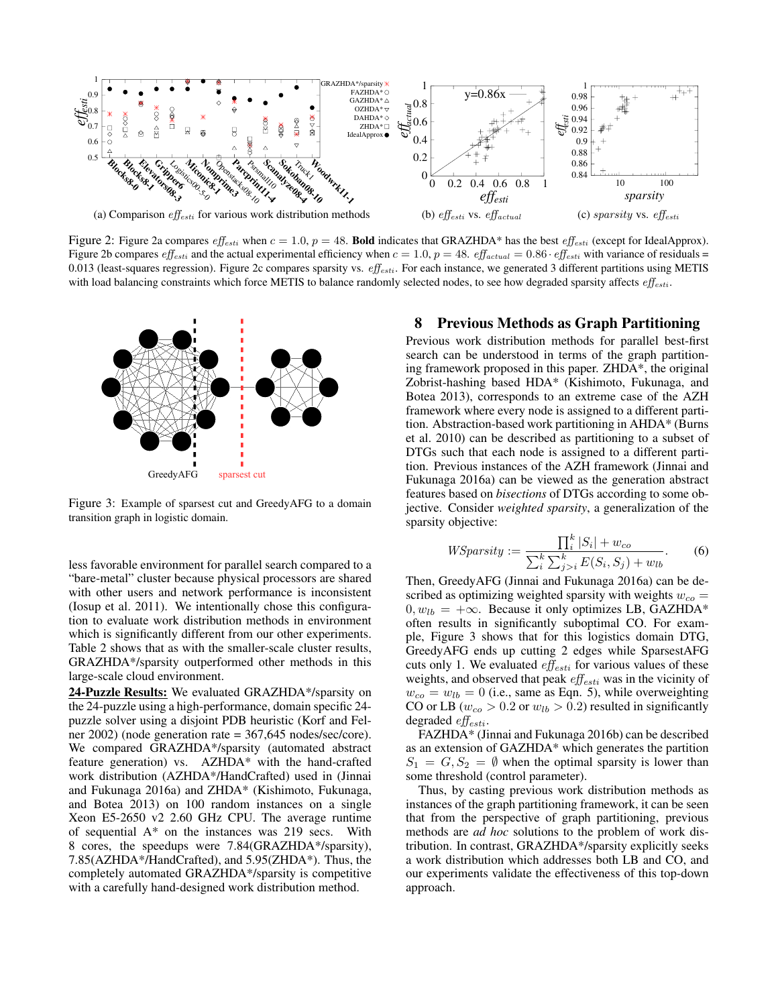

Figure 2: Figure 2a compares  $eff_{esti}$  when  $c = 1.0$ ,  $p = 48$ . Bold indicates that GRAZHDA\* has the best  $eff_{esti}$  (except for IdealApprox). Figure 2b compares  $\text{eff}_{esti}$  and the actual experimental efficiency when  $c = 1.0$ ,  $p = 48$ .  $\text{eff}_{actual} = 0.86 \cdot \text{eff}_{esti}$  with variance of residuals = 0.013 (least-squares regression). Figure 2c compares sparsity vs.  $\epsilon f_{esti}$ . For each instance, we generated 3 different partitions using METIS with load balancing constraints which force METIS to balance randomly selected nodes, to see how degraded sparsity affects  $eff_{esti}$ .



Figure 3: Example of sparsest cut and GreedyAFG to a domain transition graph in logistic domain.

less favorable environment for parallel search compared to a "bare-metal" cluster because physical processors are shared with other users and network performance is inconsistent (Iosup et al. 2011). We intentionally chose this configuration to evaluate work distribution methods in environment which is significantly different from our other experiments. Table 2 shows that as with the smaller-scale cluster results, GRAZHDA\*/sparsity outperformed other methods in this large-scale cloud environment.

24-Puzzle Results: We evaluated GRAZHDA\*/sparsity on the 24-puzzle using a high-performance, domain specific 24 puzzle solver using a disjoint PDB heuristic (Korf and Felner 2002) (node generation rate = 367,645 nodes/sec/core). We compared GRAZHDA\*/sparsity (automated abstract feature generation) vs. AZHDA\* with the hand-crafted work distribution (AZHDA\*/HandCrafted) used in (Jinnai and Fukunaga 2016a) and ZHDA\* (Kishimoto, Fukunaga, and Botea 2013) on 100 random instances on a single Xeon E5-2650 v2 2.60 GHz CPU. The average runtime of sequential A\* on the instances was 219 secs. With 8 cores, the speedups were 7.84(GRAZHDA\*/sparsity), 7.85(AZHDA\*/HandCrafted), and 5.95(ZHDA\*). Thus, the completely automated GRAZHDA\*/sparsity is competitive with a carefully hand-designed work distribution method.

#### 8 Previous Methods as Graph Partitioning

Previous work distribution methods for parallel best-first search can be understood in terms of the graph partitioning framework proposed in this paper. ZHDA\*, the original Zobrist-hashing based HDA\* (Kishimoto, Fukunaga, and Botea 2013), corresponds to an extreme case of the AZH framework where every node is assigned to a different partition. Abstraction-based work partitioning in AHDA\* (Burns et al. 2010) can be described as partitioning to a subset of DTGs such that each node is assigned to a different partition. Previous instances of the AZH framework (Jinnai and Fukunaga 2016a) can be viewed as the generation abstract features based on *bisections* of DTGs according to some objective. Consider *weighted sparsity*, a generalization of the sparsity objective:

$$
WS\text{parsity} := \frac{\prod_{i}^{k} |S_{i}| + w_{co}}{\sum_{i}^{k} \sum_{j>i}^{k} E(S_{i}, S_{j}) + w_{lb}}.
$$
 (6)

Then, GreedyAFG (Jinnai and Fukunaga 2016a) can be described as optimizing weighted sparsity with weights  $w_{co}$  =  $0, w_{lb} = +\infty$ . Because it only optimizes LB, GAZHDA\* often results in significantly suboptimal CO. For example, Figure 3 shows that for this logistics domain DTG, GreedyAFG ends up cutting 2 edges while SparsestAFG cuts only 1. We evaluated  $\textit{eff}_{esti}$  for various values of these weights, and observed that peak  $\textit{eff}_{esti}$  was in the vicinity of  $w_{co} = w_{lb} = 0$  (i.e., same as Eqn. 5), while overweighting CO or LB ( $w_{co} > 0.2$  or  $w_{lb} > 0.2$ ) resulted in significantly degraded  $\iota$ ff $_{esti}$ .

FAZHDA\* (Jinnai and Fukunaga 2016b) can be described as an extension of GAZHDA\* which generates the partition  $S_1 = G, S_2 = \emptyset$  when the optimal sparsity is lower than some threshold (control parameter).

Thus, by casting previous work distribution methods as instances of the graph partitioning framework, it can be seen that from the perspective of graph partitioning, previous methods are *ad hoc* solutions to the problem of work distribution. In contrast, GRAZHDA\*/sparsity explicitly seeks a work distribution which addresses both LB and CO, and our experiments validate the effectiveness of this top-down approach.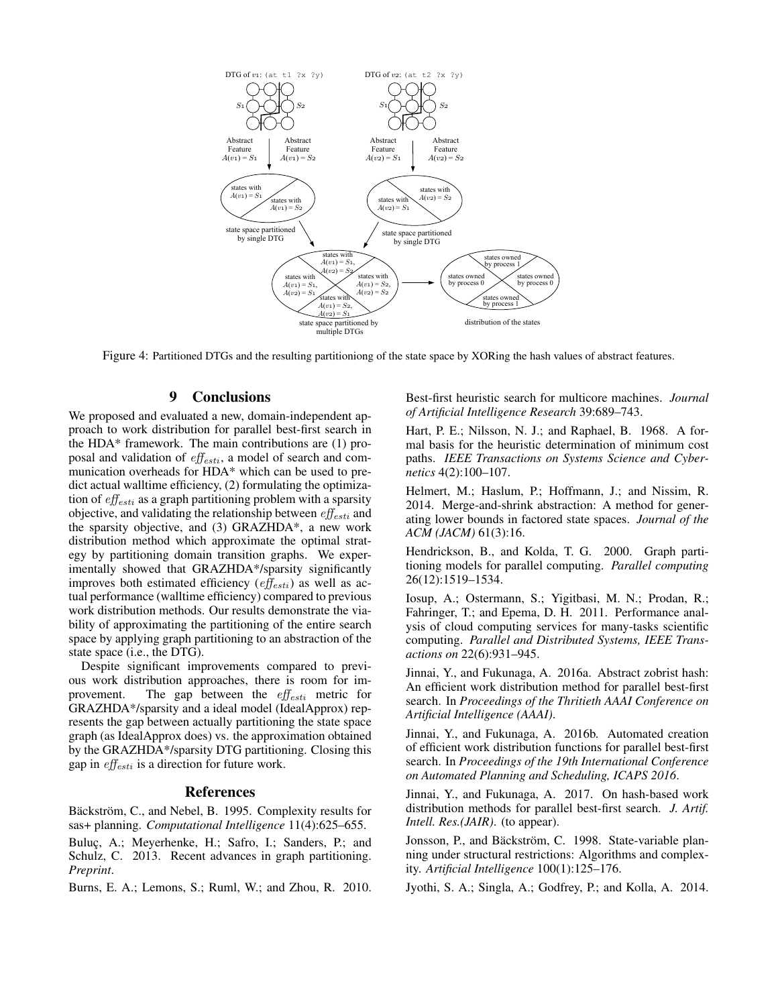

Figure 4: Partitioned DTGs and the resulting partitioniong of the state space by XORing the hash values of abstract features.

## 9 Conclusions

We proposed and evaluated a new, domain-independent approach to work distribution for parallel best-first search in the HDA\* framework. The main contributions are (1) proposal and validation of  $\textit{eff}_{\textit{esti}}$ , a model of search and communication overheads for HDA\* which can be used to predict actual walltime efficiency, (2) formulating the optimization of  $\textit{eff}_{esti}$  as a graph partitioning problem with a sparsity objective, and validating the relationship between  $\textit{eff}_{esti}$  and the sparsity objective, and (3) GRAZHDA\*, a new work distribution method which approximate the optimal strategy by partitioning domain transition graphs. We experimentally showed that GRAZHDA\*/sparsity significantly improves both estimated efficiency  $\left(e^{ff}_{esti}\right)$  as well as actual performance (walltime efficiency) compared to previous work distribution methods. Our results demonstrate the viability of approximating the partitioning of the entire search space by applying graph partitioning to an abstraction of the state space (i.e., the DTG).

Despite significant improvements compared to previous work distribution approaches, there is room for improvement. The gap between the  $\textit{eff}_{esti}$  metric for GRAZHDA\*/sparsity and a ideal model (IdealApprox) represents the gap between actually partitioning the state space graph (as IdealApprox does) vs. the approximation obtained by the GRAZHDA\*/sparsity DTG partitioning. Closing this gap in  $\iota$ ff<sub>esti</sub> is a direction for future work.

### References

Bäckström, C., and Nebel, B. 1995. Complexity results for sas+ planning. *Computational Intelligence* 11(4):625–655.

Buluç, A.; Meyerhenke, H.; Safro, I.; Sanders, P.; and Schulz, C. 2013. Recent advances in graph partitioning. *Preprint*.

Burns, E. A.; Lemons, S.; Ruml, W.; and Zhou, R. 2010.

Best-first heuristic search for multicore machines. *Journal of Artificial Intelligence Research* 39:689–743.

Hart, P. E.; Nilsson, N. J.; and Raphael, B. 1968. A formal basis for the heuristic determination of minimum cost paths. *IEEE Transactions on Systems Science and Cybernetics* 4(2):100–107.

Helmert, M.; Haslum, P.; Hoffmann, J.; and Nissim, R. 2014. Merge-and-shrink abstraction: A method for generating lower bounds in factored state spaces. *Journal of the ACM (JACM)* 61(3):16.

Hendrickson, B., and Kolda, T. G. 2000. Graph partitioning models for parallel computing. *Parallel computing* 26(12):1519–1534.

Iosup, A.; Ostermann, S.; Yigitbasi, M. N.; Prodan, R.; Fahringer, T.; and Epema, D. H. 2011. Performance analysis of cloud computing services for many-tasks scientific computing. *Parallel and Distributed Systems, IEEE Transactions on* 22(6):931–945.

Jinnai, Y., and Fukunaga, A. 2016a. Abstract zobrist hash: An efficient work distribution method for parallel best-first search. In *Proceedings of the Thritieth AAAI Conference on Artificial Intelligence (AAAI)*.

Jinnai, Y., and Fukunaga, A. 2016b. Automated creation of efficient work distribution functions for parallel best-first search. In *Proceedings of the 19th International Conference on Automated Planning and Scheduling, ICAPS 2016*.

Jinnai, Y., and Fukunaga, A. 2017. On hash-based work distribution methods for parallel best-first search. *J. Artif. Intell. Res.(JAIR)*. (to appear).

Jonsson, P., and Bäckström, C. 1998. State-variable planning under structural restrictions: Algorithms and complexity. *Artificial Intelligence* 100(1):125–176.

Jyothi, S. A.; Singla, A.; Godfrey, P.; and Kolla, A. 2014.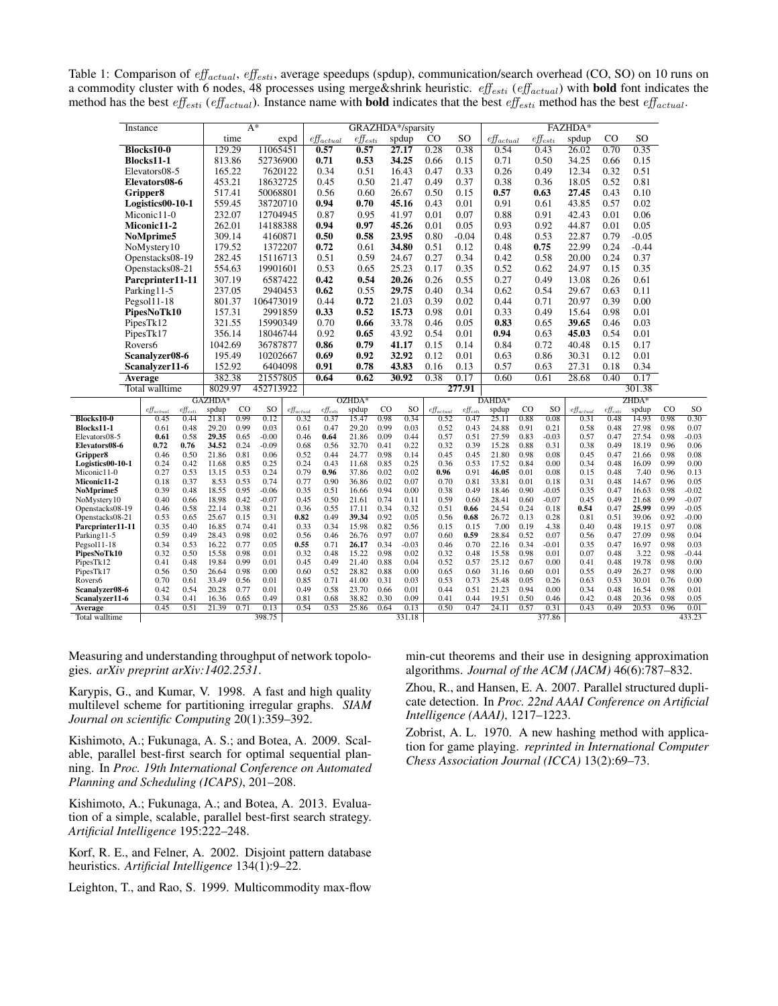Table 1: Comparison of  $\textit{eff}_{actual}$ ,  $\textit{eff}_{esti}$ , average speedups (spdup), communication/search overhead (CO, SO) on 10 runs on a commodity cluster with 6 nodes, 48 processes using merge&shrink heuristic.  $\textit{eff}_{esti}$  (eff<sub>actual</sub>) with **bold** font indicates the method has the best  $\textit{eff}_{\textit{esti}}$  (eff<sub>actual</sub>). Instance name with **bold** indicates that the best eff<sub>esti</sub> method has the best eff<sub>actual</sub>.

| Instance          |                                                                                   | $A^*$                                                                                                                                                                                                            |                                                                                                                                                                                                                                                                                                                             |                                                                                                                                       |                                                                                                                                                                                                                                                                                                                                                              |                                                                                                                       |                                                                                                                                                                                                                                                                                     |                                                                                                                                                                                                                                                                                                                                                                                                                                                                       |                                                                                                                                        |                                                                                                                                                                                                                                                                                                                               |                                                                                                                                                                                                                                                                                                                                               | FAZHDA*                                                                                                                                                                                                                           |                                                                                                                                                                                                                                                  |                                                                                                                                                                                                                                       |                                                                                                                                             |                                                                                                                                                                                                                                                                                                                                    |                                                                                                                                                                                                                                   |                                                                                                                                                                                                                                             |                                                                                                                                                                                                                                                                             |                                                                                                              |
|-------------------|-----------------------------------------------------------------------------------|------------------------------------------------------------------------------------------------------------------------------------------------------------------------------------------------------------------|-----------------------------------------------------------------------------------------------------------------------------------------------------------------------------------------------------------------------------------------------------------------------------------------------------------------------------|---------------------------------------------------------------------------------------------------------------------------------------|--------------------------------------------------------------------------------------------------------------------------------------------------------------------------------------------------------------------------------------------------------------------------------------------------------------------------------------------------------------|-----------------------------------------------------------------------------------------------------------------------|-------------------------------------------------------------------------------------------------------------------------------------------------------------------------------------------------------------------------------------------------------------------------------------|-----------------------------------------------------------------------------------------------------------------------------------------------------------------------------------------------------------------------------------------------------------------------------------------------------------------------------------------------------------------------------------------------------------------------------------------------------------------------|----------------------------------------------------------------------------------------------------------------------------------------|-------------------------------------------------------------------------------------------------------------------------------------------------------------------------------------------------------------------------------------------------------------------------------------------------------------------------------|-----------------------------------------------------------------------------------------------------------------------------------------------------------------------------------------------------------------------------------------------------------------------------------------------------------------------------------------------|-----------------------------------------------------------------------------------------------------------------------------------------------------------------------------------------------------------------------------------|--------------------------------------------------------------------------------------------------------------------------------------------------------------------------------------------------------------------------------------------------|---------------------------------------------------------------------------------------------------------------------------------------------------------------------------------------------------------------------------------------|---------------------------------------------------------------------------------------------------------------------------------------------|------------------------------------------------------------------------------------------------------------------------------------------------------------------------------------------------------------------------------------------------------------------------------------------------------------------------------------|-----------------------------------------------------------------------------------------------------------------------------------------------------------------------------------------------------------------------------------|---------------------------------------------------------------------------------------------------------------------------------------------------------------------------------------------------------------------------------------------|-----------------------------------------------------------------------------------------------------------------------------------------------------------------------------------------------------------------------------------------------------------------------------|--------------------------------------------------------------------------------------------------------------|
|                   |                                                                                   |                                                                                                                                                                                                                  |                                                                                                                                                                                                                                                                                                                             |                                                                                                                                       |                                                                                                                                                                                                                                                                                                                                                              |                                                                                                                       |                                                                                                                                                                                                                                                                                     |                                                                                                                                                                                                                                                                                                                                                                                                                                                                       |                                                                                                                                        | CO.                                                                                                                                                                                                                                                                                                                           | <sub>SO</sub>                                                                                                                                                                                                                                                                                                                                 |                                                                                                                                                                                                                                   |                                                                                                                                                                                                                                                  |                                                                                                                                                                                                                                       | spdup                                                                                                                                       | CO                                                                                                                                                                                                                                                                                                                                 | SO                                                                                                                                                                                                                                |                                                                                                                                                                                                                                             |                                                                                                                                                                                                                                                                             |                                                                                                              |
|                   |                                                                                   |                                                                                                                                                                                                                  |                                                                                                                                                                                                                                                                                                                             |                                                                                                                                       |                                                                                                                                                                                                                                                                                                                                                              |                                                                                                                       | 0.57                                                                                                                                                                                                                                                                                |                                                                                                                                                                                                                                                                                                                                                                                                                                                                       |                                                                                                                                        |                                                                                                                                                                                                                                                                                                                               | 0.28                                                                                                                                                                                                                                                                                                                                          | 0.38                                                                                                                                                                                                                              | 0.54                                                                                                                                                                                                                                             |                                                                                                                                                                                                                                       |                                                                                                                                             | $\overline{26.02}$                                                                                                                                                                                                                                                                                                                 | 0.70                                                                                                                                                                                                                              |                                                                                                                                                                                                                                             |                                                                                                                                                                                                                                                                             |                                                                                                              |
| <b>Blocks11-1</b> |                                                                                   |                                                                                                                                                                                                                  |                                                                                                                                                                                                                                                                                                                             |                                                                                                                                       |                                                                                                                                                                                                                                                                                                                                                              | 0.71                                                                                                                  |                                                                                                                                                                                                                                                                                     |                                                                                                                                                                                                                                                                                                                                                                                                                                                                       |                                                                                                                                        | 0.66                                                                                                                                                                                                                                                                                                                          | 0.15                                                                                                                                                                                                                                                                                                                                          | 0.71                                                                                                                                                                                                                              |                                                                                                                                                                                                                                                  |                                                                                                                                                                                                                                       | 34.25                                                                                                                                       | 0.66                                                                                                                                                                                                                                                                                                                               | 0.15                                                                                                                                                                                                                              |                                                                                                                                                                                                                                             |                                                                                                                                                                                                                                                                             |                                                                                                              |
| Elevators08-5     |                                                                                   |                                                                                                                                                                                                                  |                                                                                                                                                                                                                                                                                                                             |                                                                                                                                       |                                                                                                                                                                                                                                                                                                                                                              | 0.34                                                                                                                  |                                                                                                                                                                                                                                                                                     |                                                                                                                                                                                                                                                                                                                                                                                                                                                                       |                                                                                                                                        | 0.47                                                                                                                                                                                                                                                                                                                          | 0.33                                                                                                                                                                                                                                                                                                                                          | 0.26                                                                                                                                                                                                                              |                                                                                                                                                                                                                                                  |                                                                                                                                                                                                                                       | 12.34                                                                                                                                       | 0.32                                                                                                                                                                                                                                                                                                                               | 0.51                                                                                                                                                                                                                              |                                                                                                                                                                                                                                             |                                                                                                                                                                                                                                                                             |                                                                                                              |
|                   |                                                                                   |                                                                                                                                                                                                                  |                                                                                                                                                                                                                                                                                                                             |                                                                                                                                       |                                                                                                                                                                                                                                                                                                                                                              |                                                                                                                       |                                                                                                                                                                                                                                                                                     |                                                                                                                                                                                                                                                                                                                                                                                                                                                                       |                                                                                                                                        |                                                                                                                                                                                                                                                                                                                               |                                                                                                                                                                                                                                                                                                                                               |                                                                                                                                                                                                                                   |                                                                                                                                                                                                                                                  |                                                                                                                                                                                                                                       |                                                                                                                                             |                                                                                                                                                                                                                                                                                                                                    |                                                                                                                                                                                                                                   |                                                                                                                                                                                                                                             |                                                                                                                                                                                                                                                                             |                                                                                                              |
|                   |                                                                                   |                                                                                                                                                                                                                  |                                                                                                                                                                                                                                                                                                                             |                                                                                                                                       |                                                                                                                                                                                                                                                                                                                                                              |                                                                                                                       |                                                                                                                                                                                                                                                                                     |                                                                                                                                                                                                                                                                                                                                                                                                                                                                       |                                                                                                                                        |                                                                                                                                                                                                                                                                                                                               |                                                                                                                                                                                                                                                                                                                                               |                                                                                                                                                                                                                                   |                                                                                                                                                                                                                                                  |                                                                                                                                                                                                                                       |                                                                                                                                             |                                                                                                                                                                                                                                                                                                                                    |                                                                                                                                                                                                                                   |                                                                                                                                                                                                                                             |                                                                                                                                                                                                                                                                             |                                                                                                              |
|                   |                                                                                   |                                                                                                                                                                                                                  |                                                                                                                                                                                                                                                                                                                             |                                                                                                                                       |                                                                                                                                                                                                                                                                                                                                                              |                                                                                                                       |                                                                                                                                                                                                                                                                                     |                                                                                                                                                                                                                                                                                                                                                                                                                                                                       |                                                                                                                                        |                                                                                                                                                                                                                                                                                                                               |                                                                                                                                                                                                                                                                                                                                               |                                                                                                                                                                                                                                   |                                                                                                                                                                                                                                                  |                                                                                                                                                                                                                                       |                                                                                                                                             |                                                                                                                                                                                                                                                                                                                                    |                                                                                                                                                                                                                                   |                                                                                                                                                                                                                                             |                                                                                                                                                                                                                                                                             |                                                                                                              |
|                   |                                                                                   |                                                                                                                                                                                                                  |                                                                                                                                                                                                                                                                                                                             |                                                                                                                                       |                                                                                                                                                                                                                                                                                                                                                              |                                                                                                                       |                                                                                                                                                                                                                                                                                     |                                                                                                                                                                                                                                                                                                                                                                                                                                                                       |                                                                                                                                        |                                                                                                                                                                                                                                                                                                                               |                                                                                                                                                                                                                                                                                                                                               |                                                                                                                                                                                                                                   |                                                                                                                                                                                                                                                  |                                                                                                                                                                                                                                       |                                                                                                                                             |                                                                                                                                                                                                                                                                                                                                    |                                                                                                                                                                                                                                   |                                                                                                                                                                                                                                             |                                                                                                                                                                                                                                                                             |                                                                                                              |
|                   |                                                                                   |                                                                                                                                                                                                                  |                                                                                                                                                                                                                                                                                                                             |                                                                                                                                       |                                                                                                                                                                                                                                                                                                                                                              |                                                                                                                       |                                                                                                                                                                                                                                                                                     |                                                                                                                                                                                                                                                                                                                                                                                                                                                                       |                                                                                                                                        |                                                                                                                                                                                                                                                                                                                               |                                                                                                                                                                                                                                                                                                                                               |                                                                                                                                                                                                                                   |                                                                                                                                                                                                                                                  |                                                                                                                                                                                                                                       |                                                                                                                                             |                                                                                                                                                                                                                                                                                                                                    |                                                                                                                                                                                                                                   |                                                                                                                                                                                                                                             |                                                                                                                                                                                                                                                                             |                                                                                                              |
|                   |                                                                                   |                                                                                                                                                                                                                  |                                                                                                                                                                                                                                                                                                                             |                                                                                                                                       |                                                                                                                                                                                                                                                                                                                                                              |                                                                                                                       |                                                                                                                                                                                                                                                                                     |                                                                                                                                                                                                                                                                                                                                                                                                                                                                       |                                                                                                                                        |                                                                                                                                                                                                                                                                                                                               |                                                                                                                                                                                                                                                                                                                                               |                                                                                                                                                                                                                                   |                                                                                                                                                                                                                                                  |                                                                                                                                                                                                                                       |                                                                                                                                             |                                                                                                                                                                                                                                                                                                                                    |                                                                                                                                                                                                                                   |                                                                                                                                                                                                                                             |                                                                                                                                                                                                                                                                             |                                                                                                              |
|                   |                                                                                   |                                                                                                                                                                                                                  |                                                                                                                                                                                                                                                                                                                             |                                                                                                                                       |                                                                                                                                                                                                                                                                                                                                                              |                                                                                                                       |                                                                                                                                                                                                                                                                                     |                                                                                                                                                                                                                                                                                                                                                                                                                                                                       |                                                                                                                                        |                                                                                                                                                                                                                                                                                                                               |                                                                                                                                                                                                                                                                                                                                               |                                                                                                                                                                                                                                   |                                                                                                                                                                                                                                                  |                                                                                                                                                                                                                                       |                                                                                                                                             |                                                                                                                                                                                                                                                                                                                                    |                                                                                                                                                                                                                                   |                                                                                                                                                                                                                                             |                                                                                                                                                                                                                                                                             |                                                                                                              |
|                   |                                                                                   |                                                                                                                                                                                                                  |                                                                                                                                                                                                                                                                                                                             |                                                                                                                                       |                                                                                                                                                                                                                                                                                                                                                              |                                                                                                                       |                                                                                                                                                                                                                                                                                     |                                                                                                                                                                                                                                                                                                                                                                                                                                                                       |                                                                                                                                        |                                                                                                                                                                                                                                                                                                                               |                                                                                                                                                                                                                                                                                                                                               |                                                                                                                                                                                                                                   |                                                                                                                                                                                                                                                  |                                                                                                                                                                                                                                       |                                                                                                                                             |                                                                                                                                                                                                                                                                                                                                    |                                                                                                                                                                                                                                   |                                                                                                                                                                                                                                             |                                                                                                                                                                                                                                                                             |                                                                                                              |
|                   |                                                                                   |                                                                                                                                                                                                                  |                                                                                                                                                                                                                                                                                                                             |                                                                                                                                       |                                                                                                                                                                                                                                                                                                                                                              |                                                                                                                       |                                                                                                                                                                                                                                                                                     |                                                                                                                                                                                                                                                                                                                                                                                                                                                                       |                                                                                                                                        |                                                                                                                                                                                                                                                                                                                               |                                                                                                                                                                                                                                                                                                                                               |                                                                                                                                                                                                                                   |                                                                                                                                                                                                                                                  |                                                                                                                                                                                                                                       |                                                                                                                                             |                                                                                                                                                                                                                                                                                                                                    |                                                                                                                                                                                                                                   |                                                                                                                                                                                                                                             |                                                                                                                                                                                                                                                                             |                                                                                                              |
|                   |                                                                                   |                                                                                                                                                                                                                  |                                                                                                                                                                                                                                                                                                                             |                                                                                                                                       |                                                                                                                                                                                                                                                                                                                                                              |                                                                                                                       |                                                                                                                                                                                                                                                                                     |                                                                                                                                                                                                                                                                                                                                                                                                                                                                       |                                                                                                                                        |                                                                                                                                                                                                                                                                                                                               |                                                                                                                                                                                                                                                                                                                                               |                                                                                                                                                                                                                                   |                                                                                                                                                                                                                                                  |                                                                                                                                                                                                                                       |                                                                                                                                             |                                                                                                                                                                                                                                                                                                                                    |                                                                                                                                                                                                                                   |                                                                                                                                                                                                                                             |                                                                                                                                                                                                                                                                             |                                                                                                              |
|                   |                                                                                   |                                                                                                                                                                                                                  |                                                                                                                                                                                                                                                                                                                             |                                                                                                                                       |                                                                                                                                                                                                                                                                                                                                                              |                                                                                                                       |                                                                                                                                                                                                                                                                                     |                                                                                                                                                                                                                                                                                                                                                                                                                                                                       |                                                                                                                                        |                                                                                                                                                                                                                                                                                                                               |                                                                                                                                                                                                                                                                                                                                               |                                                                                                                                                                                                                                   |                                                                                                                                                                                                                                                  |                                                                                                                                                                                                                                       |                                                                                                                                             |                                                                                                                                                                                                                                                                                                                                    |                                                                                                                                                                                                                                   |                                                                                                                                                                                                                                             |                                                                                                                                                                                                                                                                             |                                                                                                              |
| Parking11-5       |                                                                                   |                                                                                                                                                                                                                  |                                                                                                                                                                                                                                                                                                                             |                                                                                                                                       |                                                                                                                                                                                                                                                                                                                                                              |                                                                                                                       |                                                                                                                                                                                                                                                                                     |                                                                                                                                                                                                                                                                                                                                                                                                                                                                       |                                                                                                                                        |                                                                                                                                                                                                                                                                                                                               |                                                                                                                                                                                                                                                                                                                                               |                                                                                                                                                                                                                                   |                                                                                                                                                                                                                                                  |                                                                                                                                                                                                                                       |                                                                                                                                             |                                                                                                                                                                                                                                                                                                                                    |                                                                                                                                                                                                                                   |                                                                                                                                                                                                                                             |                                                                                                                                                                                                                                                                             |                                                                                                              |
| Pegsol11-18       |                                                                                   |                                                                                                                                                                                                                  |                                                                                                                                                                                                                                                                                                                             |                                                                                                                                       |                                                                                                                                                                                                                                                                                                                                                              | 0.44                                                                                                                  |                                                                                                                                                                                                                                                                                     |                                                                                                                                                                                                                                                                                                                                                                                                                                                                       |                                                                                                                                        |                                                                                                                                                                                                                                                                                                                               |                                                                                                                                                                                                                                                                                                                                               |                                                                                                                                                                                                                                   |                                                                                                                                                                                                                                                  |                                                                                                                                                                                                                                       |                                                                                                                                             |                                                                                                                                                                                                                                                                                                                                    |                                                                                                                                                                                                                                   |                                                                                                                                                                                                                                             |                                                                                                                                                                                                                                                                             |                                                                                                              |
| PipesNoTk10       |                                                                                   |                                                                                                                                                                                                                  |                                                                                                                                                                                                                                                                                                                             |                                                                                                                                       |                                                                                                                                                                                                                                                                                                                                                              |                                                                                                                       |                                                                                                                                                                                                                                                                                     |                                                                                                                                                                                                                                                                                                                                                                                                                                                                       |                                                                                                                                        | 0.98                                                                                                                                                                                                                                                                                                                          | 0.01                                                                                                                                                                                                                                                                                                                                          | 0.33                                                                                                                                                                                                                              |                                                                                                                                                                                                                                                  |                                                                                                                                                                                                                                       | 15.64                                                                                                                                       |                                                                                                                                                                                                                                                                                                                                    |                                                                                                                                                                                                                                   |                                                                                                                                                                                                                                             |                                                                                                                                                                                                                                                                             |                                                                                                              |
|                   |                                                                                   |                                                                                                                                                                                                                  |                                                                                                                                                                                                                                                                                                                             |                                                                                                                                       |                                                                                                                                                                                                                                                                                                                                                              |                                                                                                                       |                                                                                                                                                                                                                                                                                     |                                                                                                                                                                                                                                                                                                                                                                                                                                                                       |                                                                                                                                        |                                                                                                                                                                                                                                                                                                                               | 0.46                                                                                                                                                                                                                                                                                                                                          | 0.05                                                                                                                                                                                                                              | 0.83                                                                                                                                                                                                                                             |                                                                                                                                                                                                                                       |                                                                                                                                             |                                                                                                                                                                                                                                                                                                                                    | 0.46                                                                                                                                                                                                                              |                                                                                                                                                                                                                                             |                                                                                                                                                                                                                                                                             |                                                                                                              |
|                   |                                                                                   |                                                                                                                                                                                                                  |                                                                                                                                                                                                                                                                                                                             |                                                                                                                                       |                                                                                                                                                                                                                                                                                                                                                              |                                                                                                                       | 0.92                                                                                                                                                                                                                                                                                |                                                                                                                                                                                                                                                                                                                                                                                                                                                                       |                                                                                                                                        |                                                                                                                                                                                                                                                                                                                               | 0.54                                                                                                                                                                                                                                                                                                                                          | 0.01                                                                                                                                                                                                                              | 0.94                                                                                                                                                                                                                                             |                                                                                                                                                                                                                                       |                                                                                                                                             | 45.03                                                                                                                                                                                                                                                                                                                              | 0.54                                                                                                                                                                                                                              | 0.01                                                                                                                                                                                                                                        |                                                                                                                                                                                                                                                                             |                                                                                                              |
| Rovers6           |                                                                                   |                                                                                                                                                                                                                  |                                                                                                                                                                                                                                                                                                                             |                                                                                                                                       |                                                                                                                                                                                                                                                                                                                                                              | 0.86                                                                                                                  |                                                                                                                                                                                                                                                                                     |                                                                                                                                                                                                                                                                                                                                                                                                                                                                       |                                                                                                                                        | 0.15                                                                                                                                                                                                                                                                                                                          | 0.14                                                                                                                                                                                                                                                                                                                                          | 0.84                                                                                                                                                                                                                              |                                                                                                                                                                                                                                                  |                                                                                                                                                                                                                                       | 40.48                                                                                                                                       | 0.15                                                                                                                                                                                                                                                                                                                               | 0.17                                                                                                                                                                                                                              |                                                                                                                                                                                                                                             |                                                                                                                                                                                                                                                                             |                                                                                                              |
|                   |                                                                                   |                                                                                                                                                                                                                  |                                                                                                                                                                                                                                                                                                                             |                                                                                                                                       |                                                                                                                                                                                                                                                                                                                                                              |                                                                                                                       | 0.69                                                                                                                                                                                                                                                                                |                                                                                                                                                                                                                                                                                                                                                                                                                                                                       |                                                                                                                                        |                                                                                                                                                                                                                                                                                                                               | 0.12                                                                                                                                                                                                                                                                                                                                          | 0.01                                                                                                                                                                                                                              | 0.63                                                                                                                                                                                                                                             |                                                                                                                                                                                                                                       |                                                                                                                                             | 30.31                                                                                                                                                                                                                                                                                                                              | 0.12                                                                                                                                                                                                                              | 0.01                                                                                                                                                                                                                                        |                                                                                                                                                                                                                                                                             |                                                                                                              |
|                   |                                                                                   |                                                                                                                                                                                                                  |                                                                                                                                                                                                                                                                                                                             |                                                                                                                                       |                                                                                                                                                                                                                                                                                                                                                              |                                                                                                                       | 0.91                                                                                                                                                                                                                                                                                |                                                                                                                                                                                                                                                                                                                                                                                                                                                                       |                                                                                                                                        |                                                                                                                                                                                                                                                                                                                               | 0.16                                                                                                                                                                                                                                                                                                                                          | 0.13                                                                                                                                                                                                                              | 0.57                                                                                                                                                                                                                                             |                                                                                                                                                                                                                                       |                                                                                                                                             | 27.31                                                                                                                                                                                                                                                                                                                              | 0.18                                                                                                                                                                                                                              | 0.34                                                                                                                                                                                                                                        |                                                                                                                                                                                                                                                                             |                                                                                                              |
|                   |                                                                                   |                                                                                                                                                                                                                  |                                                                                                                                                                                                                                                                                                                             |                                                                                                                                       |                                                                                                                                                                                                                                                                                                                                                              |                                                                                                                       | 0.64                                                                                                                                                                                                                                                                                |                                                                                                                                                                                                                                                                                                                                                                                                                                                                       |                                                                                                                                        |                                                                                                                                                                                                                                                                                                                               | 0.38                                                                                                                                                                                                                                                                                                                                          | 0.17                                                                                                                                                                                                                              | 0.60                                                                                                                                                                                                                                             |                                                                                                                                                                                                                                       |                                                                                                                                             | 28.68                                                                                                                                                                                                                                                                                                                              | 0.40                                                                                                                                                                                                                              | 0.17                                                                                                                                                                                                                                        |                                                                                                                                                                                                                                                                             |                                                                                                              |
|                   |                                                                                   |                                                                                                                                                                                                                  |                                                                                                                                                                                                                                                                                                                             |                                                                                                                                       |                                                                                                                                                                                                                                                                                                                                                              |                                                                                                                       |                                                                                                                                                                                                                                                                                     |                                                                                                                                                                                                                                                                                                                                                                                                                                                                       |                                                                                                                                        |                                                                                                                                                                                                                                                                                                                               |                                                                                                                                                                                                                                                                                                                                               |                                                                                                                                                                                                                                   |                                                                                                                                                                                                                                                  |                                                                                                                                                                                                                                       |                                                                                                                                             |                                                                                                                                                                                                                                                                                                                                    |                                                                                                                                                                                                                                   |                                                                                                                                                                                                                                             |                                                                                                                                                                                                                                                                             |                                                                                                              |
|                   |                                                                                   |                                                                                                                                                                                                                  |                                                                                                                                                                                                                                                                                                                             |                                                                                                                                       |                                                                                                                                                                                                                                                                                                                                                              |                                                                                                                       |                                                                                                                                                                                                                                                                                     |                                                                                                                                                                                                                                                                                                                                                                                                                                                                       |                                                                                                                                        |                                                                                                                                                                                                                                                                                                                               |                                                                                                                                                                                                                                                                                                                                               |                                                                                                                                                                                                                                   |                                                                                                                                                                                                                                                  |                                                                                                                                                                                                                                       |                                                                                                                                             |                                                                                                                                                                                                                                                                                                                                    |                                                                                                                                                                                                                                   |                                                                                                                                                                                                                                             |                                                                                                                                                                                                                                                                             |                                                                                                              |
|                   |                                                                                   | $\hat{eff}_{esti}$                                                                                                                                                                                               | spdup                                                                                                                                                                                                                                                                                                                       | $_{\rm CO}$                                                                                                                           | SO                                                                                                                                                                                                                                                                                                                                                           |                                                                                                                       |                                                                                                                                                                                                                                                                                     | spdup                                                                                                                                                                                                                                                                                                                                                                                                                                                                 | $_{\rm CO}$                                                                                                                            | SO                                                                                                                                                                                                                                                                                                                            | $e_{\text{Hactual}}$                                                                                                                                                                                                                                                                                                                          |                                                                                                                                                                                                                                   | spdup                                                                                                                                                                                                                                            | $_{\rm CO}$                                                                                                                                                                                                                           | <sub>SO</sub>                                                                                                                               | $eff_{actual}$                                                                                                                                                                                                                                                                                                                     |                                                                                                                                                                                                                                   | spdup                                                                                                                                                                                                                                       | $_{\rm CO}$                                                                                                                                                                                                                                                                 | <sub>SO</sub>                                                                                                |
|                   | 0.45                                                                              | 0.44                                                                                                                                                                                                             | 21.81                                                                                                                                                                                                                                                                                                                       | 0.99                                                                                                                                  | 0.12                                                                                                                                                                                                                                                                                                                                                         |                                                                                                                       | 0.37                                                                                                                                                                                                                                                                                | 15.47                                                                                                                                                                                                                                                                                                                                                                                                                                                                 | 0.98                                                                                                                                   | 0.34                                                                                                                                                                                                                                                                                                                          | 0.52                                                                                                                                                                                                                                                                                                                                          | 0.47                                                                                                                                                                                                                              | 25.11                                                                                                                                                                                                                                            | 0.88                                                                                                                                                                                                                                  | 0.08                                                                                                                                        | 0.31                                                                                                                                                                                                                                                                                                                               | 0.48                                                                                                                                                                                                                              | 14.93                                                                                                                                                                                                                                       | 0.98                                                                                                                                                                                                                                                                        | 0.30                                                                                                         |
|                   |                                                                                   |                                                                                                                                                                                                                  |                                                                                                                                                                                                                                                                                                                             |                                                                                                                                       |                                                                                                                                                                                                                                                                                                                                                              |                                                                                                                       |                                                                                                                                                                                                                                                                                     |                                                                                                                                                                                                                                                                                                                                                                                                                                                                       |                                                                                                                                        |                                                                                                                                                                                                                                                                                                                               |                                                                                                                                                                                                                                                                                                                                               |                                                                                                                                                                                                                                   |                                                                                                                                                                                                                                                  |                                                                                                                                                                                                                                       |                                                                                                                                             |                                                                                                                                                                                                                                                                                                                                    |                                                                                                                                                                                                                                   |                                                                                                                                                                                                                                             |                                                                                                                                                                                                                                                                             | 0.07                                                                                                         |
|                   |                                                                                   |                                                                                                                                                                                                                  |                                                                                                                                                                                                                                                                                                                             |                                                                                                                                       |                                                                                                                                                                                                                                                                                                                                                              |                                                                                                                       |                                                                                                                                                                                                                                                                                     |                                                                                                                                                                                                                                                                                                                                                                                                                                                                       |                                                                                                                                        |                                                                                                                                                                                                                                                                                                                               |                                                                                                                                                                                                                                                                                                                                               |                                                                                                                                                                                                                                   |                                                                                                                                                                                                                                                  |                                                                                                                                                                                                                                       |                                                                                                                                             |                                                                                                                                                                                                                                                                                                                                    |                                                                                                                                                                                                                                   |                                                                                                                                                                                                                                             |                                                                                                                                                                                                                                                                             | $-0.03$                                                                                                      |
|                   |                                                                                   |                                                                                                                                                                                                                  |                                                                                                                                                                                                                                                                                                                             |                                                                                                                                       |                                                                                                                                                                                                                                                                                                                                                              |                                                                                                                       |                                                                                                                                                                                                                                                                                     |                                                                                                                                                                                                                                                                                                                                                                                                                                                                       |                                                                                                                                        |                                                                                                                                                                                                                                                                                                                               |                                                                                                                                                                                                                                                                                                                                               |                                                                                                                                                                                                                                   |                                                                                                                                                                                                                                                  |                                                                                                                                                                                                                                       |                                                                                                                                             |                                                                                                                                                                                                                                                                                                                                    |                                                                                                                                                                                                                                   |                                                                                                                                                                                                                                             |                                                                                                                                                                                                                                                                             | 0.06<br>0.08                                                                                                 |
|                   |                                                                                   |                                                                                                                                                                                                                  |                                                                                                                                                                                                                                                                                                                             |                                                                                                                                       |                                                                                                                                                                                                                                                                                                                                                              |                                                                                                                       |                                                                                                                                                                                                                                                                                     |                                                                                                                                                                                                                                                                                                                                                                                                                                                                       |                                                                                                                                        |                                                                                                                                                                                                                                                                                                                               |                                                                                                                                                                                                                                                                                                                                               |                                                                                                                                                                                                                                   |                                                                                                                                                                                                                                                  |                                                                                                                                                                                                                                       |                                                                                                                                             |                                                                                                                                                                                                                                                                                                                                    |                                                                                                                                                                                                                                   |                                                                                                                                                                                                                                             |                                                                                                                                                                                                                                                                             | 0.00                                                                                                         |
|                   | 0.27                                                                              | 0.53                                                                                                                                                                                                             | 13.15                                                                                                                                                                                                                                                                                                                       | 0.53                                                                                                                                  | 0.24                                                                                                                                                                                                                                                                                                                                                         |                                                                                                                       | 0.96                                                                                                                                                                                                                                                                                | 37.86                                                                                                                                                                                                                                                                                                                                                                                                                                                                 | 0.02                                                                                                                                   | 0.02                                                                                                                                                                                                                                                                                                                          | 0.96                                                                                                                                                                                                                                                                                                                                          | 0.91                                                                                                                                                                                                                              | 46.05                                                                                                                                                                                                                                            | 0.01                                                                                                                                                                                                                                  | 0.08                                                                                                                                        | 0.15                                                                                                                                                                                                                                                                                                                               | 0.48                                                                                                                                                                                                                              | 7.40                                                                                                                                                                                                                                        | 0.96                                                                                                                                                                                                                                                                        | 0.13                                                                                                         |
|                   | 0.18                                                                              | 0.37                                                                                                                                                                                                             | 8.53                                                                                                                                                                                                                                                                                                                        | 0.53                                                                                                                                  | 0.74                                                                                                                                                                                                                                                                                                                                                         |                                                                                                                       | 0.90                                                                                                                                                                                                                                                                                | 36.86                                                                                                                                                                                                                                                                                                                                                                                                                                                                 | 0.02                                                                                                                                   | 0.07                                                                                                                                                                                                                                                                                                                          | 0.70                                                                                                                                                                                                                                                                                                                                          | 0.81                                                                                                                                                                                                                              | 33.81                                                                                                                                                                                                                                            | 0.01                                                                                                                                                                                                                                  | 0.18                                                                                                                                        | 0.31                                                                                                                                                                                                                                                                                                                               | 0.48                                                                                                                                                                                                                              | 14.67                                                                                                                                                                                                                                       | 0.96                                                                                                                                                                                                                                                                        | 0.05                                                                                                         |
|                   | 0.39                                                                              | 0.48                                                                                                                                                                                                             | 18.55                                                                                                                                                                                                                                                                                                                       | 0.95                                                                                                                                  | $-0.06$                                                                                                                                                                                                                                                                                                                                                      |                                                                                                                       | 0.51                                                                                                                                                                                                                                                                                | 16.66                                                                                                                                                                                                                                                                                                                                                                                                                                                                 | 0.94                                                                                                                                   | 0.00                                                                                                                                                                                                                                                                                                                          | 0.38                                                                                                                                                                                                                                                                                                                                          | 0.49                                                                                                                                                                                                                              | 18.46                                                                                                                                                                                                                                            | 0.90                                                                                                                                                                                                                                  | $-0.05$                                                                                                                                     | 0.35                                                                                                                                                                                                                                                                                                                               | 0.47                                                                                                                                                                                                                              | 16.63                                                                                                                                                                                                                                       | 0.98                                                                                                                                                                                                                                                                        | $-0.02$                                                                                                      |
|                   |                                                                                   |                                                                                                                                                                                                                  |                                                                                                                                                                                                                                                                                                                             |                                                                                                                                       |                                                                                                                                                                                                                                                                                                                                                              |                                                                                                                       |                                                                                                                                                                                                                                                                                     |                                                                                                                                                                                                                                                                                                                                                                                                                                                                       |                                                                                                                                        |                                                                                                                                                                                                                                                                                                                               |                                                                                                                                                                                                                                                                                                                                               |                                                                                                                                                                                                                                   |                                                                                                                                                                                                                                                  |                                                                                                                                                                                                                                       |                                                                                                                                             |                                                                                                                                                                                                                                                                                                                                    |                                                                                                                                                                                                                                   |                                                                                                                                                                                                                                             |                                                                                                                                                                                                                                                                             | $-0.07$                                                                                                      |
|                   |                                                                                   |                                                                                                                                                                                                                  |                                                                                                                                                                                                                                                                                                                             |                                                                                                                                       |                                                                                                                                                                                                                                                                                                                                                              |                                                                                                                       |                                                                                                                                                                                                                                                                                     |                                                                                                                                                                                                                                                                                                                                                                                                                                                                       |                                                                                                                                        |                                                                                                                                                                                                                                                                                                                               |                                                                                                                                                                                                                                                                                                                                               |                                                                                                                                                                                                                                   |                                                                                                                                                                                                                                                  |                                                                                                                                                                                                                                       |                                                                                                                                             |                                                                                                                                                                                                                                                                                                                                    |                                                                                                                                                                                                                                   |                                                                                                                                                                                                                                             |                                                                                                                                                                                                                                                                             | $-0.05$                                                                                                      |
|                   |                                                                                   |                                                                                                                                                                                                                  |                                                                                                                                                                                                                                                                                                                             |                                                                                                                                       |                                                                                                                                                                                                                                                                                                                                                              |                                                                                                                       |                                                                                                                                                                                                                                                                                     |                                                                                                                                                                                                                                                                                                                                                                                                                                                                       |                                                                                                                                        |                                                                                                                                                                                                                                                                                                                               |                                                                                                                                                                                                                                                                                                                                               |                                                                                                                                                                                                                                   |                                                                                                                                                                                                                                                  |                                                                                                                                                                                                                                       |                                                                                                                                             |                                                                                                                                                                                                                                                                                                                                    |                                                                                                                                                                                                                                   |                                                                                                                                                                                                                                             |                                                                                                                                                                                                                                                                             | $-0.00$<br>0.08                                                                                              |
|                   |                                                                                   |                                                                                                                                                                                                                  |                                                                                                                                                                                                                                                                                                                             |                                                                                                                                       |                                                                                                                                                                                                                                                                                                                                                              |                                                                                                                       |                                                                                                                                                                                                                                                                                     |                                                                                                                                                                                                                                                                                                                                                                                                                                                                       |                                                                                                                                        |                                                                                                                                                                                                                                                                                                                               |                                                                                                                                                                                                                                                                                                                                               |                                                                                                                                                                                                                                   |                                                                                                                                                                                                                                                  |                                                                                                                                                                                                                                       |                                                                                                                                             |                                                                                                                                                                                                                                                                                                                                    |                                                                                                                                                                                                                                   |                                                                                                                                                                                                                                             |                                                                                                                                                                                                                                                                             | 0.04                                                                                                         |
|                   | 0.34                                                                              | 0.53                                                                                                                                                                                                             | 16.22                                                                                                                                                                                                                                                                                                                       | 0.77                                                                                                                                  | 0.05                                                                                                                                                                                                                                                                                                                                                         |                                                                                                                       | 0.71                                                                                                                                                                                                                                                                                | 26.17                                                                                                                                                                                                                                                                                                                                                                                                                                                                 | 0.34                                                                                                                                   | $-0.03$                                                                                                                                                                                                                                                                                                                       | 0.46                                                                                                                                                                                                                                                                                                                                          | 0.70                                                                                                                                                                                                                              | 22.16                                                                                                                                                                                                                                            | 0.34                                                                                                                                                                                                                                  | $-0.01$                                                                                                                                     | 0.35                                                                                                                                                                                                                                                                                                                               | 0.47                                                                                                                                                                                                                              | 16.97                                                                                                                                                                                                                                       | 0.98                                                                                                                                                                                                                                                                        | 0.03                                                                                                         |
|                   | 0.32                                                                              | 0.50                                                                                                                                                                                                             | 15.58                                                                                                                                                                                                                                                                                                                       | 0.98                                                                                                                                  | 0.01                                                                                                                                                                                                                                                                                                                                                         |                                                                                                                       | 0.48                                                                                                                                                                                                                                                                                | 15.22                                                                                                                                                                                                                                                                                                                                                                                                                                                                 | 0.98                                                                                                                                   | 0.02                                                                                                                                                                                                                                                                                                                          | 0.32                                                                                                                                                                                                                                                                                                                                          | 0.48                                                                                                                                                                                                                              | 15.58                                                                                                                                                                                                                                            | 0.98                                                                                                                                                                                                                                  | 0.01                                                                                                                                        | 0.07                                                                                                                                                                                                                                                                                                                               | 0.48                                                                                                                                                                                                                              | 3.22                                                                                                                                                                                                                                        | 0.98                                                                                                                                                                                                                                                                        | $-0.44$                                                                                                      |
|                   | 0.41                                                                              | 0.48                                                                                                                                                                                                             | 19.84                                                                                                                                                                                                                                                                                                                       | 0.99                                                                                                                                  | 0.01                                                                                                                                                                                                                                                                                                                                                         |                                                                                                                       | 0.49                                                                                                                                                                                                                                                                                | 21.40                                                                                                                                                                                                                                                                                                                                                                                                                                                                 | 0.88                                                                                                                                   |                                                                                                                                                                                                                                                                                                                               | 0.52                                                                                                                                                                                                                                                                                                                                          | 0.57                                                                                                                                                                                                                              | 25.12                                                                                                                                                                                                                                            | 0.67                                                                                                                                                                                                                                  | 0.00                                                                                                                                        | 0.41                                                                                                                                                                                                                                                                                                                               | 0.48                                                                                                                                                                                                                              | 19.78                                                                                                                                                                                                                                       | 0.98                                                                                                                                                                                                                                                                        | 0.00                                                                                                         |
|                   |                                                                                   |                                                                                                                                                                                                                  |                                                                                                                                                                                                                                                                                                                             |                                                                                                                                       |                                                                                                                                                                                                                                                                                                                                                              |                                                                                                                       |                                                                                                                                                                                                                                                                                     |                                                                                                                                                                                                                                                                                                                                                                                                                                                                       |                                                                                                                                        |                                                                                                                                                                                                                                                                                                                               |                                                                                                                                                                                                                                                                                                                                               |                                                                                                                                                                                                                                   |                                                                                                                                                                                                                                                  |                                                                                                                                                                                                                                       |                                                                                                                                             |                                                                                                                                                                                                                                                                                                                                    |                                                                                                                                                                                                                                   |                                                                                                                                                                                                                                             |                                                                                                                                                                                                                                                                             | 0.00                                                                                                         |
|                   |                                                                                   |                                                                                                                                                                                                                  |                                                                                                                                                                                                                                                                                                                             |                                                                                                                                       |                                                                                                                                                                                                                                                                                                                                                              |                                                                                                                       |                                                                                                                                                                                                                                                                                     |                                                                                                                                                                                                                                                                                                                                                                                                                                                                       |                                                                                                                                        |                                                                                                                                                                                                                                                                                                                               |                                                                                                                                                                                                                                                                                                                                               |                                                                                                                                                                                                                                   |                                                                                                                                                                                                                                                  |                                                                                                                                                                                                                                       |                                                                                                                                             |                                                                                                                                                                                                                                                                                                                                    |                                                                                                                                                                                                                                   |                                                                                                                                                                                                                                             |                                                                                                                                                                                                                                                                             | 0.00<br>0.01                                                                                                 |
| Scanalvzer11-6    |                                                                                   |                                                                                                                                                                                                                  |                                                                                                                                                                                                                                                                                                                             |                                                                                                                                       |                                                                                                                                                                                                                                                                                                                                                              |                                                                                                                       |                                                                                                                                                                                                                                                                                     |                                                                                                                                                                                                                                                                                                                                                                                                                                                                       |                                                                                                                                        |                                                                                                                                                                                                                                                                                                                               |                                                                                                                                                                                                                                                                                                                                               |                                                                                                                                                                                                                                   |                                                                                                                                                                                                                                                  |                                                                                                                                                                                                                                       |                                                                                                                                             |                                                                                                                                                                                                                                                                                                                                    |                                                                                                                                                                                                                                   |                                                                                                                                                                                                                                             |                                                                                                                                                                                                                                                                             | 0.05                                                                                                         |
|                   | 0.45                                                                              | 0.51                                                                                                                                                                                                             | 21.39                                                                                                                                                                                                                                                                                                                       | 0.71                                                                                                                                  | 0.13                                                                                                                                                                                                                                                                                                                                                         |                                                                                                                       | 0.53                                                                                                                                                                                                                                                                                | 25.86                                                                                                                                                                                                                                                                                                                                                                                                                                                                 | 0.64                                                                                                                                   | 0.13                                                                                                                                                                                                                                                                                                                          | 0.50                                                                                                                                                                                                                                                                                                                                          | 0.47                                                                                                                                                                                                                              | 24.11                                                                                                                                                                                                                                            | 0.57                                                                                                                                                                                                                                  | 0.31                                                                                                                                        | 0.43                                                                                                                                                                                                                                                                                                                               | 0.49                                                                                                                                                                                                                              | $\overline{20.53}$                                                                                                                                                                                                                          | 0.96                                                                                                                                                                                                                                                                        | 0.01                                                                                                         |
|                   |                                                                                   |                                                                                                                                                                                                                  |                                                                                                                                                                                                                                                                                                                             |                                                                                                                                       | 398.75                                                                                                                                                                                                                                                                                                                                                       |                                                                                                                       |                                                                                                                                                                                                                                                                                     |                                                                                                                                                                                                                                                                                                                                                                                                                                                                       |                                                                                                                                        |                                                                                                                                                                                                                                                                                                                               |                                                                                                                                                                                                                                                                                                                                               |                                                                                                                                                                                                                                   |                                                                                                                                                                                                                                                  |                                                                                                                                                                                                                                       |                                                                                                                                             |                                                                                                                                                                                                                                                                                                                                    |                                                                                                                                                                                                                                   |                                                                                                                                                                                                                                             |                                                                                                                                                                                                                                                                             | 433.23                                                                                                       |
| Scanalyzer08-6    | <b>Logistics00-10-1</b><br>Openstacks08-19<br>Openstacks08-21<br>Parcprinter11-11 | Blocks10-0<br>Gripper <sub>8</sub><br>PipesTk12<br>PipesTk17<br><b>Average</b><br>$eff_{actual}$<br>0.61<br>0.61<br>0.72<br>0.46<br>0.24<br>0.40<br>0.46<br>0.53<br>0.35<br>0.59<br>0.56<br>0.70<br>0.42<br>0.34 | Elevators08-6<br>Logistics00-10-1<br>Miconic11-0<br>Miconic11-2<br>NoMprime5<br>NoMystery10<br>Openstacks08-19<br>Openstacks08-21<br>Parcprinter11-11<br>Scanalyzer08-6<br>Scanalyzer11-6<br>Total walltime<br>0.48<br>0.58<br>0.76<br>0.50<br>0.42<br>0.66<br>0.58<br>0.65<br>0.40<br>0.49<br>0.50<br>0.61<br>0.54<br>0.41 | GAZHDA*<br>29.20<br>29.35<br>34.52<br>21.86<br>11.68<br>18.98<br>22.14<br>25.67<br>16.85<br>28.43<br>26.64<br>33.49<br>20.28<br>16.36 | time<br>129.29<br>813.86<br>165.22<br>453.21<br>517.41<br>559.45<br>232.07<br>262.01<br>309.14<br>179.52<br>282.45<br>554.63<br>307.19<br>237.05<br>801.37<br>157.31<br>321.55<br>356.14<br>1042.69<br>195.49<br>152.92<br>382.38<br>8029.97<br>0.99<br>0.65<br>0.24<br>0.81<br>0.85<br>0.42<br>0.38<br>0.15<br>0.74<br>0.98<br>0.98<br>0.56<br>0.77<br>0.65 | 0.03<br>$-0.00$<br>$-0.09$<br>0.06<br>0.25<br>$-0.07$<br>0.21<br>0.31<br>0.41<br>0.02<br>0.00<br>0.01<br>0.01<br>0.49 | expd<br>11065451<br>52736900<br>7620122<br>18632725<br>50068801<br>38720710<br>12704945<br>14188388<br>4160871<br>1372207<br>15116713<br>19901601<br>6587422<br>2940453<br>106473019<br>2991859<br>15990349<br>18046744<br>36787877<br>10202667<br>6404098<br>21557805<br>452713922 | $eff_{actual}$<br>0.45<br>0.56<br>0.94<br>0.87<br>0.94<br>0.50<br>0.72<br>0.51<br>0.53<br>0.42<br>0.62<br>0.33<br>0.70<br>$e_{\text{Hactual}}$<br>$\sqrt{eff_{esti}}$<br>0.32<br>0.61<br>0.47<br>0.64<br>0.46<br>0.68<br>0.56<br>0.52<br>0.44<br>0.24<br>0.43<br>0.79<br>0.77<br>0.35<br>0.45<br>0.50<br>0.36<br>0.55<br>0.82<br>0.49<br>0.34<br>0.33<br>0.56<br>0.46<br>0.55<br>0.32<br>0.45<br>0.60<br>0.52<br>0.85<br>0.71<br>0.49<br>0.58<br>0.81<br>0.68<br>0.54 | $OZHDA*$<br>29.20<br>21.86<br>32.70<br>24.77<br>11.68<br>21.61<br>17.11<br>39.34<br>15.98<br>26.76<br>28.82<br>41.00<br>23.70<br>38.82 | $\epsilon_{\text{ff}_{esti}}$<br>0.57<br>0.53<br>0.51<br>0.50<br>0.60<br>0.70<br>0.95<br>0.97<br>0.58<br>0.61<br>0.59<br>0.65<br>0.54<br>0.55<br>0.72<br>0.52<br>0.66<br>0.65<br>0.79<br>0.92<br>0.78<br>0.62<br>0.99<br>0.09<br>0.41<br>0.98<br>0.85<br>0.74<br>0.34<br>0.92<br>0.82<br>0.97<br>0.88<br>0.31<br>0.66<br>0.30 | spdup<br>27.17<br>34.25<br>16.43<br>21.47<br>26.67<br>45.16<br>41.97<br>45.26<br>23.95<br>34.80<br>24.67<br>25.23<br>20.26<br>29.75<br>21.03<br>15.73<br>33.78<br>43.92<br>41.17<br>32.92<br>43.83<br>30.92<br>0.03<br>0.44<br>0.22<br>0.14<br>0.25<br>0.11<br>0.32<br>0.05<br>0.56<br>0.07<br>0.04<br>0.00<br>0.03<br>0.01<br>0.09<br>331.18 | GRAZHDA*/sparsity<br>0.49<br>0.50<br>0.43<br>0.01<br>0.01<br>0.80<br>0.51<br>0.27<br>0.17<br>0.26<br>0.40<br>0.39<br>0.52<br>0.57<br>0.32<br>0.45<br>0.36<br>0.59<br>0.51<br>0.56<br>0.15<br>0.60<br>0.65<br>0.53<br>0.44<br>0.41 | 0.37<br>0.15<br>0.01<br>0.07<br>0.05<br>$-0.04$<br>0.12<br>0.34<br>0.35<br>0.55<br>0.34<br>0.02<br>277.91<br>$\sqrt{eff_{esti}}$<br>0.43<br>0.51<br>0.39<br>0.45<br>0.53<br>0.60<br>0.66<br>0.68<br>0.15<br>0.59<br>0.60<br>0.73<br>0.51<br>0.44 | 0.38<br>0.57<br>0.91<br>0.88<br>0.93<br>0.48<br>0.48<br>0.42<br>0.52<br>0.27<br>0.62<br>0.44<br>$DAHDA*$<br>24.88<br>27.59<br>15.28<br>21.80<br>17.52<br>28.41<br>24.54<br>26.72<br>7.00<br>28.84<br>31.16<br>25.48<br>21.23<br>19.51 | $\epsilon_{\text{Hactual}}$<br>0.91<br>0.83<br>0.88<br>0.98<br>0.84<br>0.60<br>0.24<br>0.13<br>0.19<br>0.52<br>0.60<br>0.05<br>0.94<br>0.50 | $\hat{eff}_{esti}$<br>0.43<br>0.50<br>0.49<br>0.36<br>0.63<br>0.61<br>0.91<br>0.92<br>0.53<br>0.75<br>0.58<br>0.62<br>0.49<br>0.54<br>0.71<br>0.49<br>0.65<br>0.63<br>0.72<br>0.86<br>0.63<br>0.61<br>0.21<br>$-0.03$<br>0.31<br>0.08<br>0.00<br>$-0.07$<br>0.18<br>0.28<br>4.38<br>0.07<br>0.01<br>0.26<br>0.00<br>0.46<br>377.86 | 18.05<br>27.45<br>43.85<br>42.43<br>44.87<br>22.87<br>22.99<br>20.00<br>24.97<br>13.08<br>29.67<br>20.97<br>39.65<br>0.58<br>0.57<br>0.38<br>0.45<br>0.34<br>0.45<br>0.54<br>0.81<br>0.40<br>0.56<br>0.55<br>0.63<br>0.34<br>0.42 | 0.52<br>0.43<br>0.57<br>0.01<br>0.01<br>0.79<br>0.24<br>0.24<br>0.15<br>0.26<br>0.63<br>0.39<br>0.98<br>$\sqrt{eff_{esti}}$<br>0.48<br>0.47<br>0.49<br>0.47<br>0.48<br>0.49<br>0.47<br>0.51<br>0.48<br>0.47<br>0.49<br>0.53<br>0.48<br>0.48 | 0.35<br>0.81<br>0.10<br>0.02<br>0.06<br>0.05<br>$-0.05$<br>$-0.44$<br>0.37<br>0.35<br>0.61<br>0.11<br>0.00<br>0.01<br>0.03<br>301.38<br>ZHDA*<br>27.98<br>27.54<br>18.19<br>21.66<br>16.09<br>21.68<br>25.99<br>39.06<br>19.15<br>27.09<br>26.27<br>30.01<br>16.54<br>20.36 | 0.98<br>0.98<br>0.96<br>0.98<br>0.99<br>0.99<br>0.99<br>0.92<br>0.97<br>0.98<br>0.98<br>0.76<br>0.98<br>0.98 |

Measuring and understanding throughput of network topologies. *arXiv preprint arXiv:1402.2531*.

Karypis, G., and Kumar, V. 1998. A fast and high quality multilevel scheme for partitioning irregular graphs. *SIAM Journal on scientific Computing* 20(1):359–392.

Kishimoto, A.; Fukunaga, A. S.; and Botea, A. 2009. Scalable, parallel best-first search for optimal sequential planning. In *Proc. 19th International Conference on Automated Planning and Scheduling (ICAPS)*, 201–208.

Kishimoto, A.; Fukunaga, A.; and Botea, A. 2013. Evaluation of a simple, scalable, parallel best-first search strategy. *Artificial Intelligence* 195:222–248.

Korf, R. E., and Felner, A. 2002. Disjoint pattern database heuristics. *Artificial Intelligence* 134(1):9–22.

Leighton, T., and Rao, S. 1999. Multicommodity max-flow

min-cut theorems and their use in designing approximation algorithms. *Journal of the ACM (JACM)* 46(6):787–832.

Zhou, R., and Hansen, E. A. 2007. Parallel structured duplicate detection. In *Proc. 22nd AAAI Conference on Artificial Intelligence (AAAI)*, 1217–1223.

Zobrist, A. L. 1970. A new hashing method with application for game playing. *reprinted in International Computer Chess Association Journal (ICCA)* 13(2):69–73.